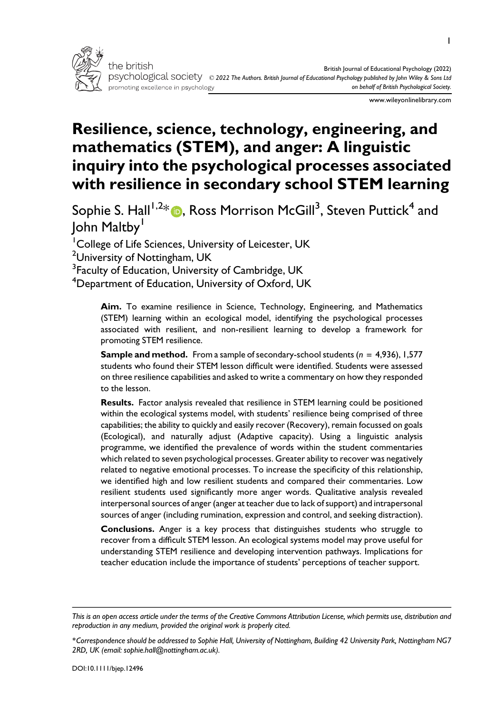

www.wileyonlinelibrary.com

# Resilience, science, technology, engineering, and mathematics (STEM), and anger: A linguistic inquiry into the psychological processes associated with resilience in secondary school STEM learning

Sophie S. Hall $^{1,2}$ [\\*](https://orcid.org/0000-0002-9847-8269)  $\textcircled{\tiny{\textsf{P}}}$ , Ross Morrison McGill $^3$ , Steven Puttick $^4$  and John Maltby<sup>1</sup>

<sup>1</sup> College of Life Sciences, University of Leicester, UK

 $^2$ University of Nottingham, UK

 $^3$ Faculty of Education, University of Cambridge, UK

 $^4$ Department of Education, University of Oxford, UK

Aim. To examine resilience in Science, Technology, Engineering, and Mathematics (STEM) learning within an ecological model, identifying the psychological processes associated with resilient, and non-resilient learning to develop a framework for promoting STEM resilience.

**Sample and method.** From a sample of secondary-school students ( $n = 4,936$ ), 1,577 students who found their STEM lesson difficult were identified. Students were assessed on three resilience capabilities and asked to write a commentary on how they responded to the lesson.

Results. Factor analysis revealed that resilience in STEM learning could be positioned within the ecological systems model, with students' resilience being comprised of three capabilities; the ability to quickly and easily recover (Recovery), remain focussed on goals (Ecological), and naturally adjust (Adaptive capacity). Using a linguistic analysis programme, we identified the prevalence of words within the student commentaries which related to seven psychological processes. Greater ability to recover was negatively related to negative emotional processes. To increase the specificity of this relationship, we identified high and low resilient students and compared their commentaries. Low resilient students used significantly more anger words. Qualitative analysis revealed interpersonal sources of anger (anger at teacher due to lack of support) and intrapersonal sources of anger (including rumination, expression and control, and seeking distraction).

Conclusions. Anger is a key process that distinguishes students who struggle to recover from a difficult STEM lesson. An ecological systems model may prove useful for understanding STEM resilience and developing intervention pathways. Implications for teacher education include the importance of students' perceptions of teacher support.

This is an open access article under the terms of the [Creative Commons Attribution](http://creativecommons.org/licenses/by/4.0/) License, which permits use, distribution and reproduction in any medium, provided the original work is properly cited.

<sup>\*</sup>Correspondence should be addressed to Sophie Hall, University of Nottingham, Building 42 University Park, Nottingham NG7 2RD, UK (email: [sophie.hall@nottingham.ac.uk](mailto:)).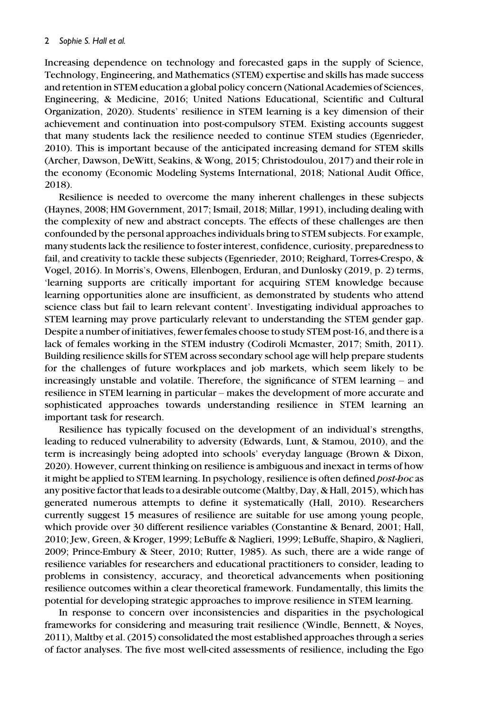Increasing dependence on technology and forecasted gaps in the supply of Science, Technology, Engineering, and Mathematics (STEM) expertise and skills has made success and retention in STEM education a global policy concern (National Academies of Sciences, Engineering, & Medicine, 2016; United Nations Educational, Scientific and Cultural Organization, 2020). Students' resilience in STEM learning is a key dimension of their achievement and continuation into post-compulsory STEM. Existing accounts suggest that many students lack the resilience needed to continue STEM studies (Egenrieder, 2010). This is important because of the anticipated increasing demand for STEM skills (Archer, Dawson, DeWitt, Seakins, & Wong, 2015; Christodoulou, 2017) and their role in the economy (Economic Modeling Systems International, 2018; National Audit Office, 2018).

Resilience is needed to overcome the many inherent challenges in these subjects (Haynes, 2008; HM Government, 2017; Ismail, 2018; Millar, 1991), including dealing with the complexity of new and abstract concepts. The effects of these challenges are then confounded by the personal approaches individuals bring to STEM subjects. For example, many students lack the resilience to foster interest, confidence, curiosity, preparedness to fail, and creativity to tackle these subjects (Egenrieder, 2010; Reighard, Torres-Crespo, & Vogel, 2016). In Morris's, Owens, Ellenbogen, Erduran, and Dunlosky (2019, p. 2) terms, 'learning supports are critically important for acquiring STEM knowledge because learning opportunities alone are insufficient, as demonstrated by students who attend science class but fail to learn relevant content'. Investigating individual approaches to STEM learning may prove particularly relevant to understanding the STEM gender gap. Despite a number of initiatives, fewer females choose to study STEM post-16, and there is a lack of females working in the STEM industry (Codiroli Mcmaster, 2017; Smith, 2011). Building resilience skills for STEM across secondary school age will help prepare students for the challenges of future workplaces and job markets, which seem likely to be increasingly unstable and volatile. Therefore, the significance of STEM learning – and resilience in STEM learning in particular – makes the development of more accurate and sophisticated approaches towards understanding resilience in STEM learning an important task for research.

Resilience has typically focused on the development of an individual's strengths, leading to reduced vulnerability to adversity (Edwards, Lunt, & Stamou, 2010), and the term is increasingly being adopted into schools' everyday language (Brown & Dixon, 2020). However, current thinking on resilience is ambiguous and inexact in terms of how it might be applied to STEM learning. In psychology, resilience is often defined *post-hoc* as any positive factor that leads to a desirable outcome (Maltby, Day, & Hall, 2015), which has generated numerous attempts to define it systematically (Hall, 2010). Researchers currently suggest 15 measures of resilience are suitable for use among young people, which provide over 30 different resilience variables (Constantine & Benard, 2001; Hall, 2010; Jew, Green, & Kroger, 1999; LeBuffe & Naglieri, 1999; LeBuffe, Shapiro, & Naglieri, 2009; Prince-Embury & Steer, 2010; Rutter, 1985). As such, there are a wide range of resilience variables for researchers and educational practitioners to consider, leading to problems in consistency, accuracy, and theoretical advancements when positioning resilience outcomes within a clear theoretical framework. Fundamentally, this limits the potential for developing strategic approaches to improve resilience in STEM learning.

In response to concern over inconsistencies and disparities in the psychological frameworks for considering and measuring trait resilience (Windle, Bennett, & Noyes, 2011), Maltby et al. (2015) consolidated the most established approaches through a series of factor analyses. The five most well-cited assessments of resilience, including the Ego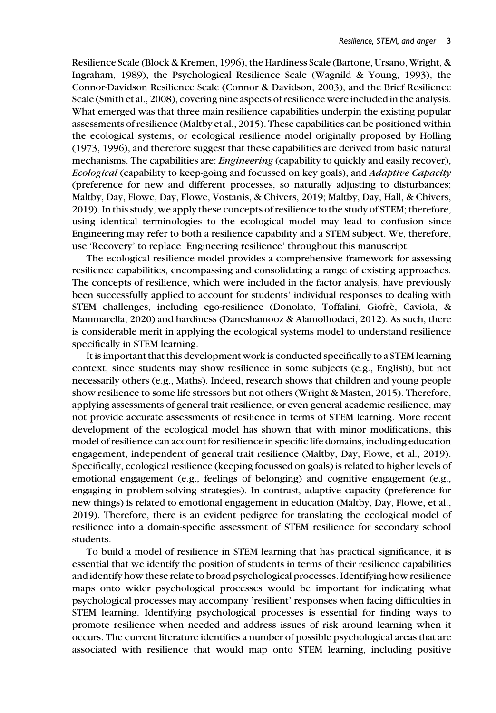Resilience Scale (Block & Kremen, 1996), the Hardiness Scale (Bartone, Ursano, Wright, & Ingraham, 1989), the Psychological Resilience Scale (Wagnild & Young, 1993), the Connor-Davidson Resilience Scale (Connor & Davidson, 2003), and the Brief Resilience Scale (Smith et al., 2008), covering nine aspects of resilience were included in the analysis. What emerged was that three main resilience capabilities underpin the existing popular assessments of resilience (Maltby et al., 2015). These capabilities can be positioned within the ecological systems, or ecological resilience model originally proposed by Holling (1973, 1996), and therefore suggest that these capabilities are derived from basic natural mechanisms. The capabilities are: *Engineering* (capability to quickly and easily recover), Ecological (capability to keep-going and focussed on key goals), and Adaptive Capacity (preference for new and different processes, so naturally adjusting to disturbances; Maltby, Day, Flowe, Day, Flowe, Vostanis, & Chivers, 2019; Maltby, Day, Hall, & Chivers, 2019). In this study, we apply these concepts of resilience to the study of STEM; therefore, using identical terminologies to the ecological model may lead to confusion since Engineering may refer to both a resilience capability and a STEM subject. We, therefore, use 'Recovery' to replace 'Engineering resilience' throughout this manuscript.

The ecological resilience model provides a comprehensive framework for assessing resilience capabilities, encompassing and consolidating a range of existing approaches. The concepts of resilience, which were included in the factor analysis, have previously been successfully applied to account for students' individual responses to dealing with STEM challenges, including ego-resilience (Donolato, Toffalini, Giofre, Caviola, & Mammarella, 2020) and hardiness (Daneshamooz & Alamolhodaei, 2012). As such, there is considerable merit in applying the ecological systems model to understand resilience specifically in STEM learning.

It is important that this development work is conducted specifically to a STEM learning context, since students may show resilience in some subjects (e.g., English), but not necessarily others (e.g., Maths). Indeed, research shows that children and young people show resilience to some life stressors but not others (Wright & Masten, 2015). Therefore, applying assessments of general trait resilience, or even general academic resilience, may not provide accurate assessments of resilience in terms of STEM learning. More recent development of the ecological model has shown that with minor modifications, this model of resilience can account for resilience in specific life domains, including education engagement, independent of general trait resilience (Maltby, Day, Flowe, et al., 2019). Specifically, ecological resilience (keeping focussed on goals) is related to higher levels of emotional engagement (e.g., feelings of belonging) and cognitive engagement (e.g., engaging in problem-solving strategies). In contrast, adaptive capacity (preference for new things) is related to emotional engagement in education (Maltby, Day, Flowe, et al., 2019). Therefore, there is an evident pedigree for translating the ecological model of resilience into a domain-specific assessment of STEM resilience for secondary school students.

To build a model of resilience in STEM learning that has practical significance, it is essential that we identify the position of students in terms of their resilience capabilities and identify how these relate to broad psychological processes. Identifying how resilience maps onto wider psychological processes would be important for indicating what psychological processes may accompany 'resilient' responses when facing difficulties in STEM learning. Identifying psychological processes is essential for finding ways to promote resilience when needed and address issues of risk around learning when it occurs. The current literature identifies a number of possible psychological areas that are associated with resilience that would map onto STEM learning, including positive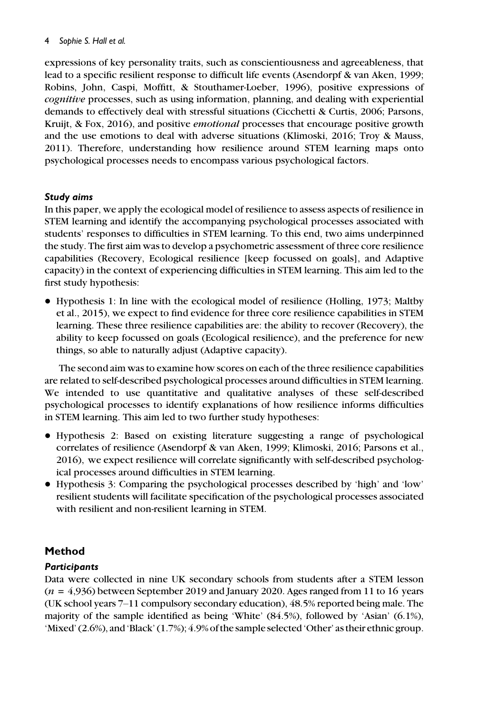expressions of key personality traits, such as conscientiousness and agreeableness, that lead to a specific resilient response to difficult life events (Asendorpf & van Aken, 1999; Robins, John, Caspi, Moffitt, & Stouthamer-Loeber, 1996), positive expressions of cognitive processes, such as using information, planning, and dealing with experiential demands to effectively deal with stressful situations (Cicchetti & Curtis, 2006; Parsons, Kruijt, & Fox, 2016), and positive emotional processes that encourage positive growth and the use emotions to deal with adverse situations (Klimoski, 2016; Troy & Mauss, 2011). Therefore, understanding how resilience around STEM learning maps onto psychological processes needs to encompass various psychological factors.

## Study aims

In this paper, we apply the ecological model of resilience to assess aspects of resilience in STEM learning and identify the accompanying psychological processes associated with students' responses to difficulties in STEM learning. To this end, two aims underpinned the study. The first aim was to develop a psychometric assessment of three core resilience capabilities (Recovery, Ecological resilience [keep focussed on goals], and Adaptive capacity) in the context of experiencing difficulties in STEM learning. This aim led to the first study hypothesis:

• Hypothesis 1: In line with the ecological model of resilience (Holling, 1973; Maltby et al., 2015), we expect to find evidence for three core resilience capabilities in STEM learning. These three resilience capabilities are: the ability to recover (Recovery), the ability to keep focussed on goals (Ecological resilience), and the preference for new things, so able to naturally adjust (Adaptive capacity).

The second aim was to examine how scores on each of the three resilience capabilities are related to self-described psychological processes around difficulties in STEM learning. We intended to use quantitative and qualitative analyses of these self-described psychological processes to identify explanations of how resilience informs difficulties in STEM learning. This aim led to two further study hypotheses:

- Hypothesis 2: Based on existing literature suggesting a range of psychological correlates of resilience (Asendorpf & van Aken, 1999; Klimoski, 2016; Parsons et al., 2016), we expect resilience will correlate significantly with self-described psychological processes around difficulties in STEM learning.
- Hypothesis 3: Comparing the psychological processes described by 'high' and 'low' resilient students will facilitate specification of the psychological processes associated with resilient and non-resilient learning in STEM.

# Method

# **Participants**

Data were collected in nine UK secondary schools from students after a STEM lesson  $(n = 4.936)$  between September 2019 and January 2020. Ages ranged from 11 to 16 years (UK school years 7–11 compulsory secondary education), 48.5% reported being male. The majority of the sample identified as being 'White' (84.5%), followed by 'Asian' (6.1%), 'Mixed' (2.6%), and 'Black' (1.7%); 4.9% of the sample selected 'Other' as their ethnic group.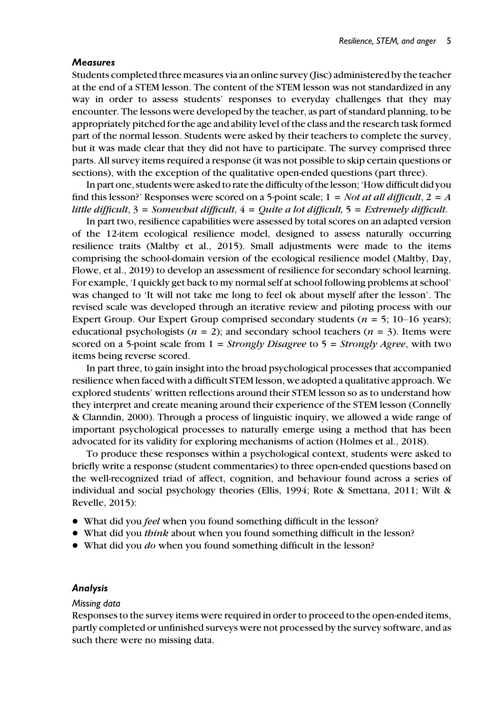#### **Measures**

Students completed three measures via an online survey (Jisc) administered by the teacher at the end of a STEM lesson. The content of the STEM lesson was not standardized in any way in order to assess students' responses to everyday challenges that they may encounter. The lessons were developed by the teacher, as part of standard planning, to be appropriately pitched for the age and ability level of the class and the research task formed part of the normal lesson. Students were asked by their teachers to complete the survey, but it was made clear that they did not have to participate. The survey comprised three parts. All survey items required a response (it was not possible to skip certain questions or sections), with the exception of the qualitative open-ended questions (part three).

In part one, students were asked to rate the difficulty of the lesson; 'How difficult did you find this lesson?' Responses were scored on a 5-point scale;  $1 = Not$  at all difficult,  $2 = A$ little difficult,  $3 =$  Somewhat difficult,  $4 =$  Quite a lot difficult,  $5 =$  Extremely difficult.

In part two, resilience capabilities were assessed by total scores on an adapted version of the 12-item ecological resilience model, designed to assess naturally occurring resilience traits (Maltby et al., 2015). Small adjustments were made to the items comprising the school-domain version of the ecological resilience model (Maltby, Day, Flowe, et al., 2019) to develop an assessment of resilience for secondary school learning. For example, 'I quickly get back to my normal self at school following problems at school' was changed to 'It will not take me long to feel ok about myself after the lesson'. The revised scale was developed through an iterative review and piloting process with our Expert Group. Our Expert Group comprised secondary students ( $n = 5$ ; 10–16 years); educational psychologists ( $n = 2$ ); and secondary school teachers ( $n = 3$ ). Items were scored on a 5-point scale from  $1 =$  Strongly Disagree to  $5 =$  Strongly Agree, with two items being reverse scored.

In part three, to gain insight into the broad psychological processes that accompanied resilience when faced with a difficult STEM lesson, we adopted a qualitative approach. We explored students' written reflections around their STEM lesson so as to understand how they interpret and create meaning around their experience of the STEM lesson (Connelly & Clanndin, 2000). Through a process of linguistic inquiry, we allowed a wide range of important psychological processes to naturally emerge using a method that has been advocated for its validity for exploring mechanisms of action (Holmes et al., 2018).

To produce these responses within a psychological context, students were asked to briefly write a response (student commentaries) to three open-ended questions based on the well-recognized triad of affect, cognition, and behaviour found across a series of individual and social psychology theories (Ellis, 1994; Rote & Smettana, 2011; Wilt & Revelle, 2015):

- What did you *feel* when you found something difficult in the lesson?
- What did you think about when you found something difficult in the lesson?
- What did you *do* when you found something difficult in the lesson?

#### Analysis

#### Missing data

Responses to the survey items were required in order to proceed to the open-ended items, partly completed or unfinished surveys were not processed by the survey software, and as such there were no missing data.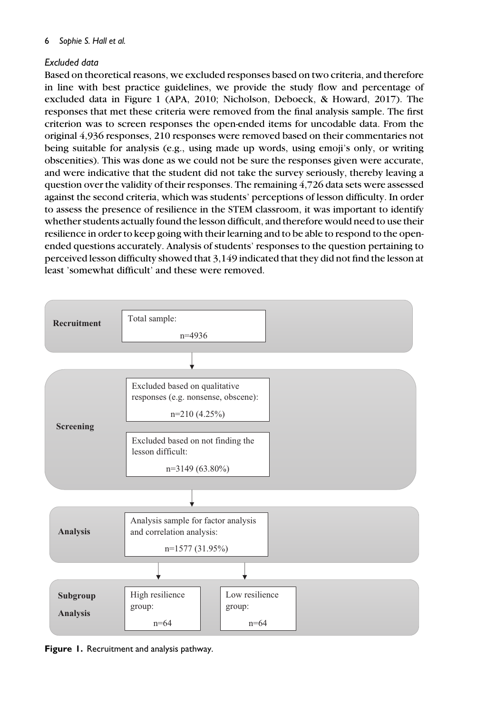# Excluded data

Based on theoretical reasons, we excluded responses based on two criteria, and therefore in line with best practice guidelines, we provide the study flow and percentage of excluded data in Figure 1 (APA, 2010; Nicholson, Deboeck, & Howard, 2017). The responses that met these criteria were removed from the final analysis sample. The first criterion was to screen responses the open-ended items for uncodable data. From the original 4,936 responses, 210 responses were removed based on their commentaries not being suitable for analysis (e.g., using made up words, using emoji's only, or writing obscenities). This was done as we could not be sure the responses given were accurate, and were indicative that the student did not take the survey seriously, thereby leaving a question over the validity of their responses. The remaining 4,726 data sets were assessed against the second criteria, which was students' perceptions of lesson difficulty. In order to assess the presence of resilience in the STEM classroom, it was important to identify whether students actually found the lesson difficult, and therefore would need to use their resilience in order to keep going with their learning and to be able to respond to the openended questions accurately. Analysis of students' responses to the question pertaining to perceived lesson difficulty showed that 3,149 indicated that they did not find the lesson at least 'somewhat difficult' and these were removed.



Figure 1. Recruitment and analysis pathway.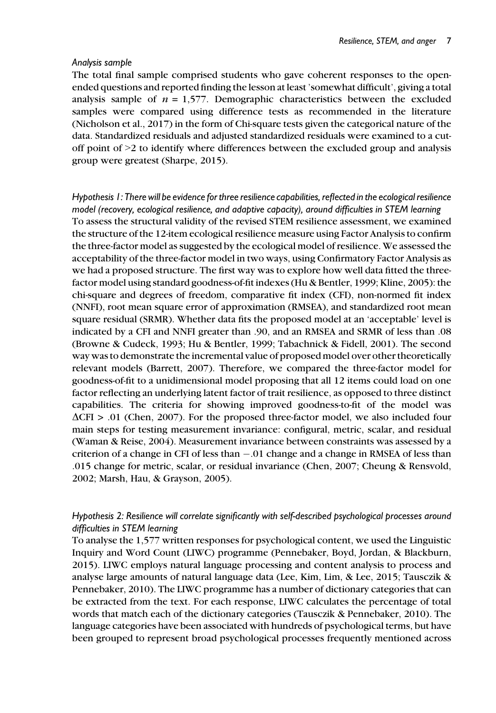#### Analysis sample

The total final sample comprised students who gave coherent responses to the openended questions and reported finding the lesson at least 'somewhat difficult', giving a total analysis sample of  $n = 1.577$ . Demographic characteristics between the excluded samples were compared using difference tests as recommended in the literature (Nicholson et al., 2017) in the form of Chi-square tests given the categorical nature of the data. Standardized residuals and adjusted standardized residuals were examined to a cutoff point of >2 to identify where differences between the excluded group and analysis group were greatest (Sharpe, 2015).

Hypothesis 1: There will be evidence for three resilience capabilities, reflected in the ecological resilience model (recovery, ecological resilience, and adaptive capacity), around difficulties in STEM learning To assess the structural validity of the revised STEM resilience assessment, we examined the structure of the 12-item ecological resilience measure using Factor Analysis to confirm the three-factor model as suggested by the ecological model of resilience. We assessed the acceptability of the three-factor model in two ways, using Confirmatory Factor Analysis as we had a proposed structure. The first way was to explore how well data fitted the threefactor model using standard goodness-of-fit indexes (Hu & Bentler, 1999; Kline, 2005): the chi-square and degrees of freedom, comparative fit index (CFI), non-normed fit index (NNFI), root mean square error of approximation (RMSEA), and standardized root mean square residual (SRMR). Whether data fits the proposed model at an 'acceptable' level is indicated by a CFI and NNFI greater than .90, and an RMSEA and SRMR of less than .08 (Browne & Cudeck, 1993; Hu & Bentler, 1999; Tabachnick & Fidell, 2001). The second way was to demonstrate the incremental value of proposed model over other theoretically relevant models (Barrett, 2007). Therefore, we compared the three-factor model for goodness-of-fit to a unidimensional model proposing that all 12 items could load on one factor reflecting an underlying latent factor of trait resilience, as opposed to three distinct capabilities. The criteria for showing improved goodness-to-fit of the model was  $\Delta$ CFI > .01 (Chen, 2007). For the proposed three-factor model, we also included four main steps for testing measurement invariance: configural, metric, scalar, and residual (Waman & Reise, 2004). Measurement invariance between constraints was assessed by a criterion of a change in CFI of less than  $-.01$  change and a change in RMSEA of less than .015 change for metric, scalar, or residual invariance (Chen, 2007; Cheung & Rensvold, 2002; Marsh, Hau, & Grayson, 2005).

## Hypothesis 2: Resilience will correlate significantly with self-described psychological processes around difficulties in STEM learning

To analyse the 1,577 written responses for psychological content, we used the Linguistic Inquiry and Word Count (LIWC) programme (Pennebaker, Boyd, Jordan, & Blackburn, 2015). LIWC employs natural language processing and content analysis to process and analyse large amounts of natural language data (Lee, Kim, Lim, & Lee, 2015; Tausczik & Pennebaker, 2010). The LIWC programme has a number of dictionary categories that can be extracted from the text. For each response, LIWC calculates the percentage of total words that match each of the dictionary categories (Tausczik & Pennebaker, 2010). The language categories have been associated with hundreds of psychological terms, but have been grouped to represent broad psychological processes frequently mentioned across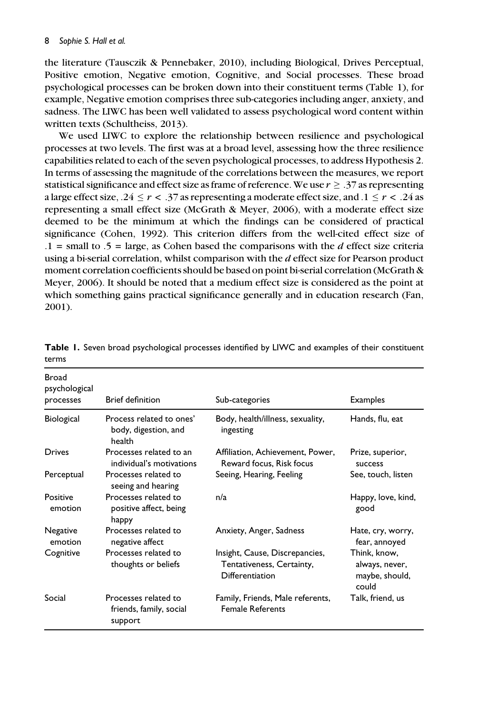the literature (Tausczik & Pennebaker, 2010), including Biological, Drives Perceptual, Positive emotion, Negative emotion, Cognitive, and Social processes. These broad psychological processes can be broken down into their constituent terms (Table 1), for example, Negative emotion comprises three sub-categories including anger, anxiety, and sadness. The LIWC has been well validated to assess psychological word content within written texts (Schultheiss, 2013).

We used LIWC to explore the relationship between resilience and psychological processes at two levels. The first was at a broad level, assessing how the three resilience capabilities related to each of the seven psychological processes, to address Hypothesis 2. In terms of assessing the magnitude of the correlations between the measures, we report statistical significance and effect size as frame of reference. We use  $r \geq .37$  as representing a large effect size, .24  $\leq r < .37$  as representing a moderate effect size, and  $.1 \leq r < .24$  as representing a small effect size (McGrath & Meyer, 2006), with a moderate effect size deemed to be the minimum at which the findings can be considered of practical significance (Cohen, 1992). This criterion differs from the well-cited effect size of  $.1 =$  small to  $.5 =$  large, as Cohen based the comparisons with the *d* effect size criteria using a bi-serial correlation, whilst comparison with the  $d$  effect size for Pearson product moment correlation coefficients should be based on point bi-serial correlation (McGrath & Meyer, 2006). It should be noted that a medium effect size is considered as the point at which something gains practical significance generally and in education research (Fan, 2001).

| <b>Broad</b><br>psychological<br>processes | <b>Brief definition</b>                                    | Sub-categories                                                                 | <b>Examples</b>                                           |
|--------------------------------------------|------------------------------------------------------------|--------------------------------------------------------------------------------|-----------------------------------------------------------|
| <b>Biological</b>                          | Process related to ones'<br>body, digestion, and<br>health | Body, health/illness, sexuality,<br>ingesting                                  | Hands, flu, eat                                           |
| Drives                                     | Processes related to an<br>individual's motivations        | Affiliation, Achievement, Power,<br>Reward focus, Risk focus                   | Prize, superior,<br>success                               |
| Perceptual                                 | Processes related to<br>seeing and hearing                 | Seeing, Hearing, Feeling                                                       | See, touch, listen                                        |
| Positive<br>emotion                        | Processes related to<br>positive affect, being<br>happy    | n/a                                                                            | Happy, love, kind,<br>good                                |
| Negative<br>emotion                        | Processes related to<br>negative affect                    | Anxiety, Anger, Sadness                                                        | Hate, cry, worry,<br>fear, annoyed                        |
| Cognitive                                  | Processes related to<br>thoughts or beliefs                | Insight, Cause, Discrepancies,<br>Tentativeness, Certainty,<br>Differentiation | Think, know,<br>always, never,<br>maybe, should,<br>could |
| Social                                     | Processes related to<br>friends, family, social<br>support | Family, Friends, Male referents,<br><b>Female Referents</b>                    | Talk, friend, us                                          |

Table 1. Seven broad psychological processes identified by LIWC and examples of their constituent terms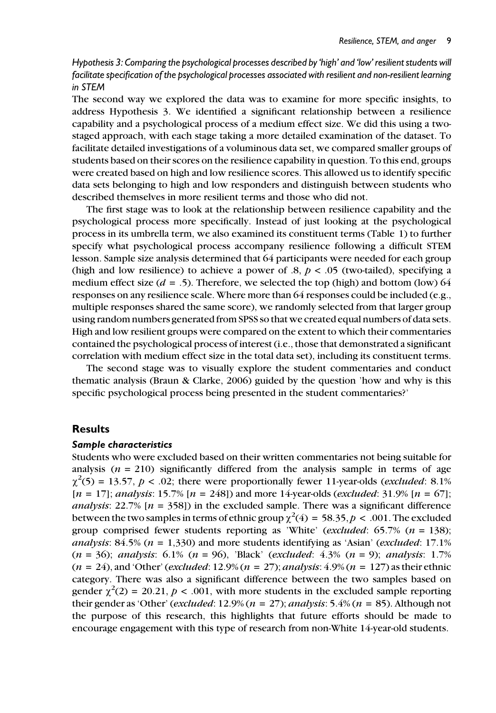Hypothesis 3: Comparing the psychological processes described by 'high' and 'low' resilient students will facilitate specification of the psychological processes associated with resilient and non-resilient learning in STEM

The second way we explored the data was to examine for more specific insights, to address Hypothesis 3. We identified a significant relationship between a resilience capability and a psychological process of a medium effect size. We did this using a twostaged approach, with each stage taking a more detailed examination of the dataset. To facilitate detailed investigations of a voluminous data set, we compared smaller groups of students based on their scores on the resilience capability in question. To this end, groups were created based on high and low resilience scores. This allowed us to identify specific data sets belonging to high and low responders and distinguish between students who described themselves in more resilient terms and those who did not.

The first stage was to look at the relationship between resilience capability and the psychological process more specifically. Instead of just looking at the psychological process in its umbrella term, we also examined its constituent terms (Table 1) to further specify what psychological process accompany resilience following a difficult STEM lesson. Sample size analysis determined that 64 participants were needed for each group (high and low resilience) to achieve a power of  $.8, p < .05$  (two-tailed), specifying a medium effect size ( $d = .5$ ). Therefore, we selected the top (high) and bottom (low) 64 responses on any resilience scale. Where more than 64 responses could be included (e.g., multiple responses shared the same score), we randomly selected from that larger group using random numbers generated from SPSS so that we created equal numbers of data sets. High and low resilient groups were compared on the extent to which their commentaries contained the psychological process of interest (i.e., those that demonstrated a significant correlation with medium effect size in the total data set), including its constituent terms.

The second stage was to visually explore the student commentaries and conduct thematic analysis (Braun & Clarke, 2006) guided by the question 'how and why is this specific psychological process being presented in the student commentaries?'

#### Results

#### Sample characteristics

Students who were excluded based on their written commentaries not being suitable for analysis  $(n = 210)$  significantly differed from the analysis sample in terms of age  $\chi^2(5) = 13.57$ ,  $p < .02$ ; there were proportionally fewer 11-year-olds (excluded: 8.1%)  $[n = 17]$ ; analysis: 15.7%  $[n = 248]$ ) and more 14-year-olds (excluded: 31.9%  $[n = 67]$ ; analysis: 22.7%  $[n = 358]$ ) in the excluded sample. There was a significant difference between the two samples in terms of ethnic group  $\chi^2(4) = 58.35, p < .001$ . The excluded group comprised fewer students reporting as 'White' (excluded:  $65.7\%$  ( $n = 138$ ); *analysis*:  $84.5\%$  ( $n = 1,330$ ) and more students identifying as 'Asian' (*excluded*: 17.1%)  $(n = 36)$ ; analysis: 6.1%  $(n = 96)$ , 'Black' (excluded: 4.3%  $(n = 9)$ ; analysis: 1.7%  $(n = 24)$ , and 'Other' (*excluded*: 12.9%  $(n = 27)$ ; *analysis*: 4.9%  $(n = 127)$  as their ethnic category. There was also a significant difference between the two samples based on gender  $\chi^2(2) = 20.21$ ,  $p < .001$ , with more students in the excluded sample reporting their gender as 'Other' (excluded: 12.9% (n = 27); analysis: 5.4% (n = 85). Although not the purpose of this research, this highlights that future efforts should be made to encourage engagement with this type of research from non-White 14-year-old students.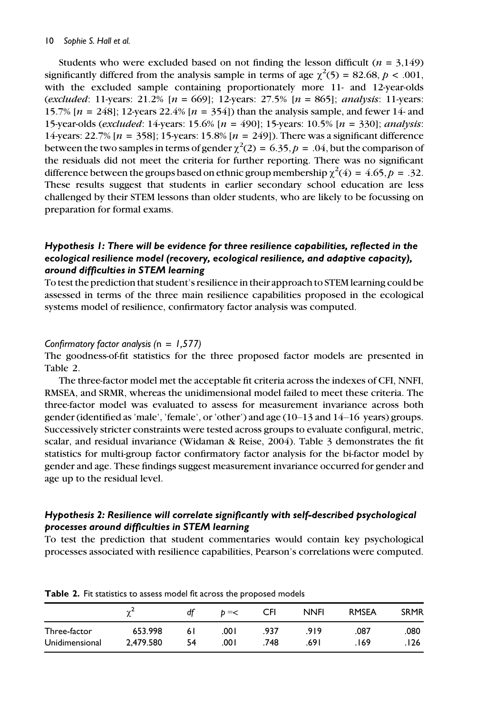Students who were excluded based on not finding the lesson difficult ( $n = 3,149$ ) significantly differed from the analysis sample in terms of age  $\chi^2(5) = 82.68$ ,  $p < .001$ , with the excluded sample containing proportionately more 11- and 12-year-olds (excluded: 11-years: 21.2%  $[n = 669]$ ; 12-years: 27.5%  $[n = 865]$ ; analysis: 11-years: 15.7%  $[n = 248]$ ; 12-years 22.4%  $[n = 354]$ ) than the analysis sample, and fewer 14- and 15-year-olds (excluded: 14-years: 15.6% [n = 490]; 15-years: 10.5% [n = 330]; analysis: 14-years: 22.7%  $[n = 358]$ ; 15-years: 15.8%  $[n = 249]$ ). There was a significant difference between the two samples in terms of gender  $\chi^2(2) = 6.35, p = .04$ , but the comparison of the residuals did not meet the criteria for further reporting. There was no significant difference between the groups based on ethnic group membership  $\chi^2(4) = 4.65, p = .32$ . These results suggest that students in earlier secondary school education are less challenged by their STEM lessons than older students, who are likely to be focussing on preparation for formal exams.

## Hypothesis 1: There will be evidence for three resilience capabilities, reflected in the ecological resilience model (recovery, ecological resilience, and adaptive capacity), around difficulties in STEM learning

To test the prediction that student's resilience in their approach to STEM learning could be assessed in terms of the three main resilience capabilities proposed in the ecological systems model of resilience, confirmatory factor analysis was computed.

#### Confirmatory factor analysis ( $n = 1,577$ )

The goodness-of-fit statistics for the three proposed factor models are presented in Table 2.

The three-factor model met the acceptable fit criteria across the indexes of CFI, NNFI, RMSEA, and SRMR, whereas the unidimensional model failed to meet these criteria. The three-factor model was evaluated to assess for measurement invariance across both gender (identified as 'male', 'female', or 'other') and age (10–13 and 14–16 years) groups. Successively stricter constraints were tested across groups to evaluate configural, metric, scalar, and residual invariance (Widaman & Reise, 2004). Table 3 demonstrates the fit statistics for multi-group factor confirmatory factor analysis for the bi-factor model by gender and age. These findings suggest measurement invariance occurred for gender and age up to the residual level.

## Hypothesis 2: Resilience will correlate significantly with self-described psychological processes around difficulties in STEM learning

To test the prediction that student commentaries would contain key psychological processes associated with resilience capabilities, Pearson's correlations were computed.

|                |           | df  | $b = <$ | CFI  | <b>NNFI</b> | <b>RMSEA</b> | <b>SRMR</b> |
|----------------|-----------|-----|---------|------|-------------|--------------|-------------|
| Three-factor   | 653.998   | 6 I | 00۱.    | .937 | 919         | .087         | .080        |
| Unidimensional | 2.479.580 | 54  | 00۱.    | .748 | .691        | . 169        | ۔ 126.      |

Table 2. Fit statistics to assess model fit across the proposed models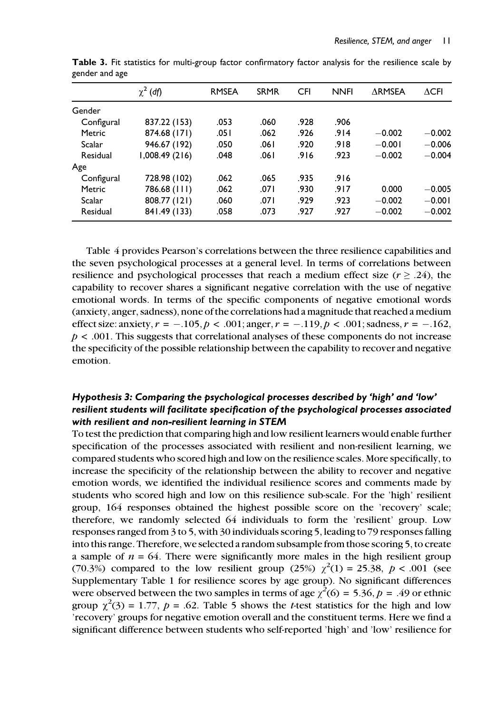|            | $\chi^2$ (df)  | <b>RMSEA</b> | <b>SRMR</b> | <b>CFI</b> | <b>NNFI</b> | $\triangle$ RMSEA | $\Delta$ CFI |
|------------|----------------|--------------|-------------|------------|-------------|-------------------|--------------|
| Gender     |                |              |             |            |             |                   |              |
| Configural | 837.22 (153)   | .053         | .060        | .928       | .906        |                   |              |
| Metric     | 874.68 (171)   | .051         | .062        | .926       | .914        | $-0.002$          | $-0.002$     |
| Scalar     | 946.67 (192)   | .050         | .061        | .920       | .918        | $-0.001$          | $-0.006$     |
| Residual   | 1,008.49 (216) | .048         | .061        | .916       | .923        | $-0.002$          | $-0.004$     |
| Age        |                |              |             |            |             |                   |              |
| Configural | 728.98 (102)   | .062         | .065        | .935       | .916        |                   |              |
| Metric     | 786.68 (111)   | .062         | .071        | .930       | .917        | 0.000             | $-0.005$     |
| Scalar     | 808.77 (121)   | .060         | .071        | .929       | .923        | $-0.002$          | $-0.001$     |
| Residual   | 841.49 (133)   | .058         | .073        | .927       | .927        | $-0.002$          | $-0.002$     |

Table 3. Fit statistics for multi-group factor confirmatory factor analysis for the resilience scale by gender and age

Table 4 provides Pearson's correlations between the three resilience capabilities and the seven psychological processes at a general level. In terms of correlations between resilience and psychological processes that reach a medium effect size ( $r \geq .24$ ), the capability to recover shares a significant negative correlation with the use of negative emotional words. In terms of the specific components of negative emotional words (anxiety, anger, sadness), none of the correlations had a magnitude that reached a medium effect size: anxiety,  $r = -.105$ ,  $p < .001$ ; anger,  $r = -.119$ ,  $p < .001$ ; sadness,  $r = -.162$ ,  $p < .001$ . This suggests that correlational analyses of these components do not increase the specificity of the possible relationship between the capability to recover and negative emotion.

## Hypothesis 3: Comparing the psychological processes described by 'high' and 'low' resilient students will facilitate specification of the psychological processes associated with resilient and non-resilient learning in STEM

To test the prediction that comparing high and low resilient learners would enable further specification of the processes associated with resilient and non-resilient learning, we compared students who scored high and low on the resilience scales. More specifically, to increase the specificity of the relationship between the ability to recover and negative emotion words, we identified the individual resilience scores and comments made by students who scored high and low on this resilience sub-scale. For the 'high' resilient group, 164 responses obtained the highest possible score on the 'recovery' scale; therefore, we randomly selected 64 individuals to form the 'resilient' group. Low responses ranged from 3 to 5, with 30 individuals scoring 5, leading to 79 responses falling into this range. Therefore, we selected a random subsample from those scoring 5, to create a sample of  $n = 64$ . There were significantly more males in the high resilient group (70.3%) compared to the low resilient group (25%)  $\chi^2(1) = 25.38, p < .001$  (see Supplementary Table 1 for resilience scores by age group). No significant differences were observed between the two samples in terms of age  $\chi^2(6) = 5.36$ ,  $p = .49$  or ethnic group  $\chi^2(3) = 1.77$ ,  $p = .62$ . Table 5 shows the *t*-test statistics for the high and low 'recovery' groups for negative emotion overall and the constituent terms. Here we find a significant difference between students who self-reported 'high' and 'low' resilience for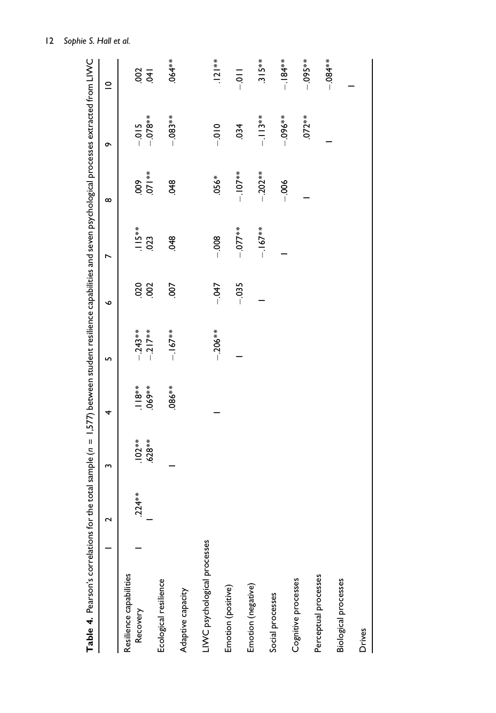| ${\sf Table\ 4.~Pearson's corrections$ for the total sample ( $n=1.577$ between student resilience capabilities and seven psychological processes extracted from LIWC |                   |                      |                   |                        |            |                |                           |                     |             |
|-----------------------------------------------------------------------------------------------------------------------------------------------------------------------|-------------------|----------------------|-------------------|------------------------|------------|----------------|---------------------------|---------------------|-------------|
|                                                                                                                                                                       | $\mathbf{\Omega}$ | S                    | 4                 | 5                      | ∾          | N              | $\infty$                  | ò                   | $\subseteq$ |
| Resilience capabilities<br>Recovery                                                                                                                                   | $.224**$          | $.102**$<br>$.628**$ | $069**$<br>$18**$ | $-217**$<br>$-0.243**$ | 020<br>200 | $115**$<br>023 | $071**$<br>$\frac{60}{2}$ | $-0.08**$<br>$-015$ | $rac{3}{6}$ |
| Ecological resilience                                                                                                                                                 |                   |                      | $.086**$          | $-167**$               | 50         | 348            | 348                       | $-0.083**$          | $.064**$    |
| Adaptive capacity                                                                                                                                                     |                   |                      |                   |                        |            |                |                           |                     |             |
| LIWC psychological processes                                                                                                                                          |                   |                      |                   | $-.206**$              | $-0.47$    | $-0.08$        | $.056*$                   | $-010$              | $121**$     |
| Emotion (positive)                                                                                                                                                    |                   |                      |                   |                        |            |                |                           |                     |             |
|                                                                                                                                                                       |                   |                      |                   |                        | $-0.035$   | $-077**$       | $-107**$                  | 034                 | $rac{1}{2}$ |
| Emotion (negative)                                                                                                                                                    |                   |                      |                   |                        |            | $-167**$       | $-0.202**$                | $-113**$            | $315**$     |
| Social processes                                                                                                                                                      |                   |                      |                   |                        |            |                | $-006$                    | $-0.06***$          | $-184**$    |
| Cognitive processes                                                                                                                                                   |                   |                      |                   |                        |            |                |                           | $.072**$            | $-0.095**$  |
| Perceptual processes                                                                                                                                                  |                   |                      |                   |                        |            |                |                           |                     |             |
| Biological processes                                                                                                                                                  |                   |                      |                   |                        |            |                |                           |                     | $-0.84**$   |
| Drives                                                                                                                                                                |                   |                      |                   |                        |            |                |                           |                     |             |

12 Sophie S. Hall et al.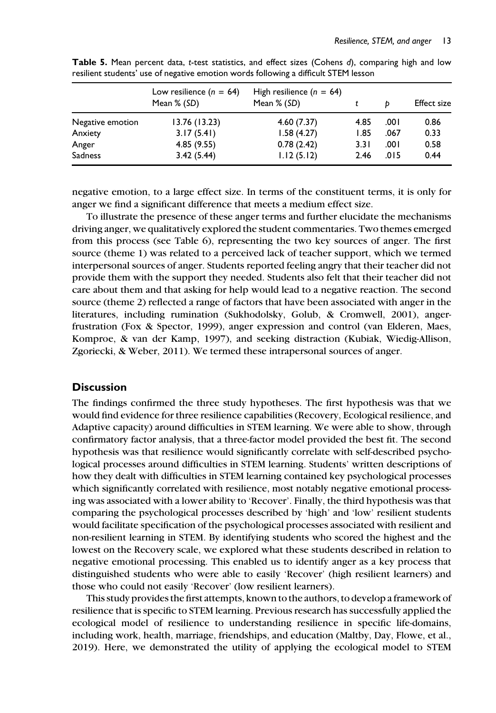|                  | Low resilience $(n = 64)$<br>Mean % (SD) | High resilience $(n = 64)$<br>Mean % (SD) |      | Ð    | <b>Effect size</b> |
|------------------|------------------------------------------|-------------------------------------------|------|------|--------------------|
| Negative emotion | 13.76 (13.23)                            | 4.60(7.37)                                | 4.85 | .001 | 0.86               |
| Anxiety          | 3.17(5.41)                               | 1.58(4.27)                                | 1.85 | .067 | 0.33               |
| Anger            | 4.85(9.55)                               | 0.78(2.42)                                | 3.31 | .001 | 0.58               |
| <b>Sadness</b>   | 3.42(5.44)                               | 1.12(5.12)                                | 2.46 | .015 | 0.44               |

Table 5. Mean percent data, t-test statistics, and effect sizes (Cohens d), comparing high and low resilient students' use of negative emotion words following a difficult STEM lesson

negative emotion, to a large effect size. In terms of the constituent terms, it is only for anger we find a significant difference that meets a medium effect size.

To illustrate the presence of these anger terms and further elucidate the mechanisms driving anger, we qualitatively explored the student commentaries. Two themes emerged from this process (see Table 6), representing the two key sources of anger. The first source (theme 1) was related to a perceived lack of teacher support, which we termed interpersonal sources of anger. Students reported feeling angry that their teacher did not provide them with the support they needed. Students also felt that their teacher did not care about them and that asking for help would lead to a negative reaction. The second source (theme 2) reflected a range of factors that have been associated with anger in the literatures, including rumination (Sukhodolsky, Golub, & Cromwell, 2001), angerfrustration (Fox & Spector, 1999), anger expression and control (van Elderen, Maes, Komproe, & van der Kamp, 1997), and seeking distraction (Kubiak, Wiedig-Allison, Zgoriecki, & Weber, 2011). We termed these intrapersonal sources of anger.

## **Discussion**

The findings confirmed the three study hypotheses. The first hypothesis was that we would find evidence for three resilience capabilities (Recovery, Ecological resilience, and Adaptive capacity) around difficulties in STEM learning. We were able to show, through confirmatory factor analysis, that a three-factor model provided the best fit. The second hypothesis was that resilience would significantly correlate with self-described psychological processes around difficulties in STEM learning. Students' written descriptions of how they dealt with difficulties in STEM learning contained key psychological processes which significantly correlated with resilience, most notably negative emotional processing was associated with a lower ability to 'Recover'. Finally, the third hypothesis was that comparing the psychological processes described by 'high' and 'low' resilient students would facilitate specification of the psychological processes associated with resilient and non-resilient learning in STEM. By identifying students who scored the highest and the lowest on the Recovery scale, we explored what these students described in relation to negative emotional processing. This enabled us to identify anger as a key process that distinguished students who were able to easily 'Recover' (high resilient learners) and those who could not easily 'Recover' (low resilient learners).

This study provides the first attempts, known to the authors, to develop a framework of resilience that is specific to STEM learning. Previous research has successfully applied the ecological model of resilience to understanding resilience in specific life-domains, including work, health, marriage, friendships, and education (Maltby, Day, Flowe, et al., 2019). Here, we demonstrated the utility of applying the ecological model to STEM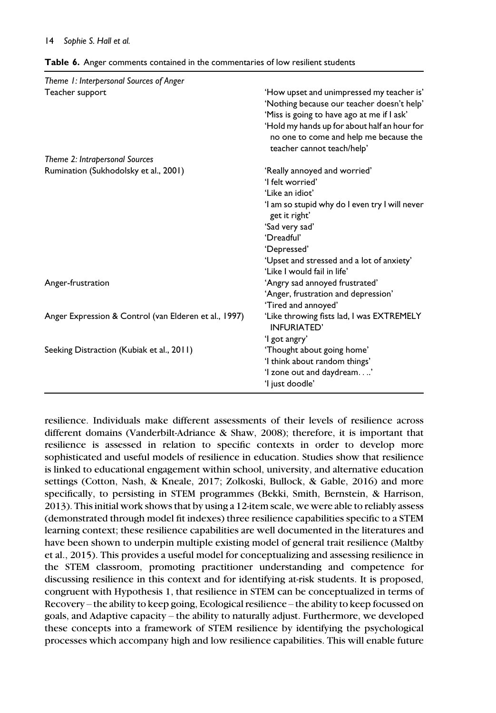| Theme 1: Interpersonal Sources of Anger               |                                                                                                                                                                                                                                                               |
|-------------------------------------------------------|---------------------------------------------------------------------------------------------------------------------------------------------------------------------------------------------------------------------------------------------------------------|
| Teacher support                                       | 'How upset and unimpressed my teacher is'<br>'Nothing because our teacher doesn't help'<br>'Miss is going to have ago at me if I ask'<br>'Hold my hands up for about half an hour for<br>no one to come and help me because the<br>teacher cannot teach/help' |
| Theme 2: Intrapersonal Sources                        |                                                                                                                                                                                                                                                               |
| Rumination (Sukhodolsky et al., 2001)                 | 'Really annoyed and worried'                                                                                                                                                                                                                                  |
|                                                       | 'I felt worried'                                                                                                                                                                                                                                              |
|                                                       | 'Like an idiot'                                                                                                                                                                                                                                               |
|                                                       | 'I am so stupid why do I even try I will never<br>get it right'                                                                                                                                                                                               |
|                                                       | 'Sad very sad'                                                                                                                                                                                                                                                |
|                                                       | 'Dreadful'                                                                                                                                                                                                                                                    |
|                                                       | 'Depressed'                                                                                                                                                                                                                                                   |
|                                                       | 'Upset and stressed and a lot of anxiety'<br>'Like I would fail in life'                                                                                                                                                                                      |
| Anger-frustration                                     | 'Angry sad annoyed frustrated'                                                                                                                                                                                                                                |
|                                                       | 'Anger, frustration and depression'                                                                                                                                                                                                                           |
|                                                       | 'Tired and annoyed'                                                                                                                                                                                                                                           |
| Anger Expression & Control (van Elderen et al., 1997) | 'Like throwing fists lad, I was EXTREMELY<br>INFURIATED'                                                                                                                                                                                                      |
|                                                       | 'l got angry'                                                                                                                                                                                                                                                 |
| Seeking Distraction (Kubiak et al., 2011)             | 'Thought about going home'                                                                                                                                                                                                                                    |
|                                                       | 'I think about random things'                                                                                                                                                                                                                                 |
|                                                       | 'I zone out and daydream'                                                                                                                                                                                                                                     |
|                                                       | 'I just doodle'                                                                                                                                                                                                                                               |

resilience. Individuals make different assessments of their levels of resilience across different domains (Vanderbilt-Adriance & Shaw, 2008); therefore, it is important that resilience is assessed in relation to specific contexts in order to develop more sophisticated and useful models of resilience in education. Studies show that resilience is linked to educational engagement within school, university, and alternative education settings (Cotton, Nash, & Kneale, 2017; Zolkoski, Bullock, & Gable, 2016) and more specifically, to persisting in STEM programmes (Bekki, Smith, Bernstein, & Harrison, 2013). This initial work shows that by using a 12-item scale, we were able to reliably assess (demonstrated through model fit indexes) three resilience capabilities specific to a STEM learning context; these resilience capabilities are well documented in the literatures and have been shown to underpin multiple existing model of general trait resilience (Maltby et al., 2015). This provides a useful model for conceptualizing and assessing resilience in the STEM classroom, promoting practitioner understanding and competence for discussing resilience in this context and for identifying at-risk students. It is proposed, congruent with Hypothesis 1, that resilience in STEM can be conceptualized in terms of Recovery – the ability to keep going, Ecological resilience – the ability to keep focussed on goals, and Adaptive capacity – the ability to naturally adjust. Furthermore, we developed these concepts into a framework of STEM resilience by identifying the psychological processes which accompany high and low resilience capabilities. This will enable future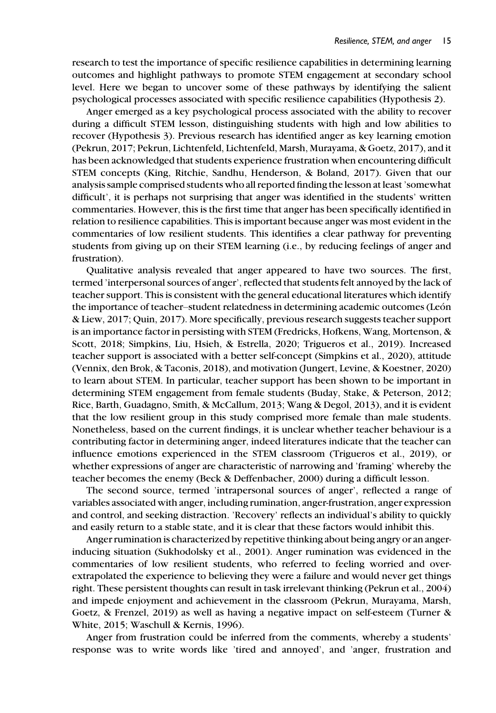research to test the importance of specific resilience capabilities in determining learning outcomes and highlight pathways to promote STEM engagement at secondary school level. Here we began to uncover some of these pathways by identifying the salient psychological processes associated with specific resilience capabilities (Hypothesis 2).

Anger emerged as a key psychological process associated with the ability to recover during a difficult STEM lesson, distinguishing students with high and low abilities to recover (Hypothesis 3). Previous research has identified anger as key learning emotion (Pekrun, 2017; Pekrun, Lichtenfeld, Lichtenfeld, Marsh, Murayama, & Goetz, 2017), and it has been acknowledged that students experience frustration when encountering difficult STEM concepts (King, Ritchie, Sandhu, Henderson, & Boland, 2017). Given that our analysis sample comprised students who all reported finding the lesson at least 'somewhat difficult', it is perhaps not surprising that anger was identified in the students' written commentaries. However, this is the first time that anger has been specifically identified in relation to resilience capabilities. This is important because anger was most evident in the commentaries of low resilient students. This identifies a clear pathway for preventing students from giving up on their STEM learning (i.e., by reducing feelings of anger and frustration).

Qualitative analysis revealed that anger appeared to have two sources. The first, termed 'interpersonal sources of anger', reflected that students felt annoyed by the lack of teacher support. This is consistent with the general educational literatures which identify the importance of teacher–student relatedness in determining academic outcomes (León & Liew, 2017; Quin, 2017). More specifically, previous research suggests teacher support is an importance factor in persisting with STEM (Fredricks, Hofkens, Wang, Mortenson, & Scott, 2018; Simpkins, Liu, Hsieh, & Estrella, 2020; Trigueros et al., 2019). Increased teacher support is associated with a better self-concept (Simpkins et al., 2020), attitude (Vennix, den Brok, & Taconis, 2018), and motivation (Jungert, Levine, & Koestner, 2020) to learn about STEM. In particular, teacher support has been shown to be important in determining STEM engagement from female students (Buday, Stake, & Peterson, 2012; Rice, Barth, Guadagno, Smith, & McCallum, 2013; Wang & Degol, 2013), and it is evident that the low resilient group in this study comprised more female than male students. Nonetheless, based on the current findings, it is unclear whether teacher behaviour is a contributing factor in determining anger, indeed literatures indicate that the teacher can influence emotions experienced in the STEM classroom (Trigueros et al., 2019), or whether expressions of anger are characteristic of narrowing and 'framing' whereby the teacher becomes the enemy (Beck & Deffenbacher, 2000) during a difficult lesson.

The second source, termed 'intrapersonal sources of anger', reflected a range of variables associated with anger, including rumination, anger-frustration, anger expression and control, and seeking distraction. 'Recovery' reflects an individual's ability to quickly and easily return to a stable state, and it is clear that these factors would inhibit this.

Anger rumination is characterized by repetitive thinking about being angry or an angerinducing situation (Sukhodolsky et al., 2001). Anger rumination was evidenced in the commentaries of low resilient students, who referred to feeling worried and overextrapolated the experience to believing they were a failure and would never get things right. These persistent thoughts can result in task irrelevant thinking (Pekrun et al., 2004) and impede enjoyment and achievement in the classroom (Pekrun, Murayama, Marsh, Goetz, & Frenzel, 2019) as well as having a negative impact on self-esteem (Turner & White, 2015; Waschull & Kernis, 1996).

Anger from frustration could be inferred from the comments, whereby a students' response was to write words like 'tired and annoyed', and 'anger, frustration and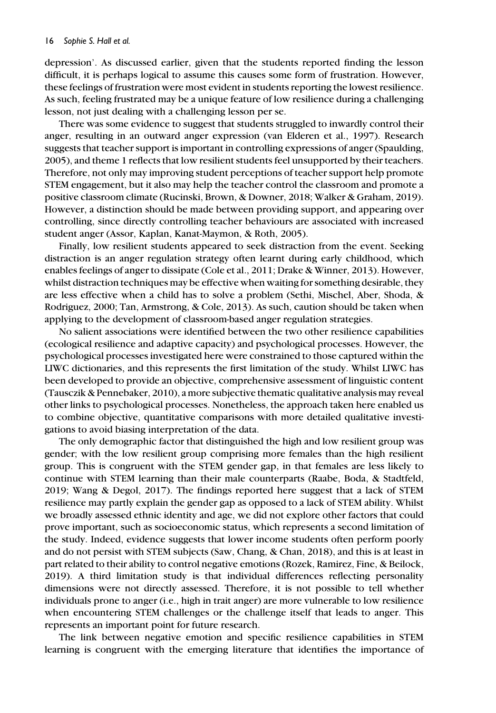depression'. As discussed earlier, given that the students reported finding the lesson difficult, it is perhaps logical to assume this causes some form of frustration. However, these feelings of frustration were most evident in students reporting the lowest resilience. As such, feeling frustrated may be a unique feature of low resilience during a challenging lesson, not just dealing with a challenging lesson per se.

There was some evidence to suggest that students struggled to inwardly control their anger, resulting in an outward anger expression (van Elderen et al., 1997). Research suggests that teacher support is important in controlling expressions of anger (Spaulding, 2005), and theme 1 reflects that low resilient students feel unsupported by their teachers. Therefore, not only may improving student perceptions of teacher support help promote STEM engagement, but it also may help the teacher control the classroom and promote a positive classroom climate (Rucinski, Brown, & Downer, 2018; Walker & Graham, 2019). However, a distinction should be made between providing support, and appearing over controlling, since directly controlling teacher behaviours are associated with increased student anger (Assor, Kaplan, Kanat-Maymon, & Roth, 2005).

Finally, low resilient students appeared to seek distraction from the event. Seeking distraction is an anger regulation strategy often learnt during early childhood, which enables feelings of anger to dissipate (Cole et al., 2011; Drake & Winner, 2013). However, whilst distraction techniques may be effective when waiting for something desirable, they are less effective when a child has to solve a problem (Sethi, Mischel, Aber, Shoda, & Rodriguez, 2000; Tan, Armstrong, & Cole, 2013). As such, caution should be taken when applying to the development of classroom-based anger regulation strategies.

No salient associations were identified between the two other resilience capabilities (ecological resilience and adaptive capacity) and psychological processes. However, the psychological processes investigated here were constrained to those captured within the LIWC dictionaries, and this represents the first limitation of the study. Whilst LIWC has been developed to provide an objective, comprehensive assessment of linguistic content (Tausczik & Pennebaker, 2010), a more subjective thematic qualitative analysis may reveal other links to psychological processes. Nonetheless, the approach taken here enabled us to combine objective, quantitative comparisons with more detailed qualitative investigations to avoid biasing interpretation of the data.

The only demographic factor that distinguished the high and low resilient group was gender; with the low resilient group comprising more females than the high resilient group. This is congruent with the STEM gender gap, in that females are less likely to continue with STEM learning than their male counterparts (Raabe, Boda, & Stadtfeld, 2019; Wang & Degol, 2017). The findings reported here suggest that a lack of STEM resilience may partly explain the gender gap as opposed to a lack of STEM ability. Whilst we broadly assessed ethnic identity and age, we did not explore other factors that could prove important, such as socioeconomic status, which represents a second limitation of the study. Indeed, evidence suggests that lower income students often perform poorly and do not persist with STEM subjects (Saw, Chang, & Chan, 2018), and this is at least in part related to their ability to control negative emotions (Rozek, Ramirez, Fine, & Beilock, 2019). A third limitation study is that individual differences reflecting personality dimensions were not directly assessed. Therefore, it is not possible to tell whether individuals prone to anger (i.e., high in trait anger) are more vulnerable to low resilience when encountering STEM challenges or the challenge itself that leads to anger. This represents an important point for future research.

The link between negative emotion and specific resilience capabilities in STEM learning is congruent with the emerging literature that identifies the importance of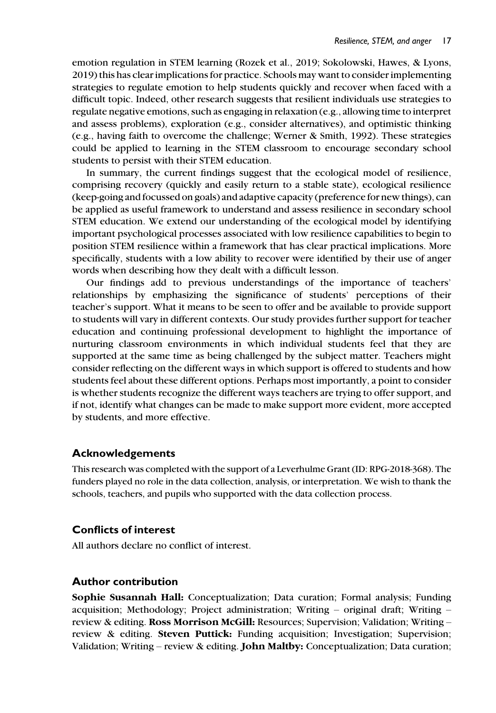emotion regulation in STEM learning (Rozek et al., 2019; Sokolowski, Hawes, & Lyons, 2019) this has clear implications for practice. Schools may want to consider implementing strategies to regulate emotion to help students quickly and recover when faced with a difficult topic. Indeed, other research suggests that resilient individuals use strategies to regulate negative emotions, such as engaging in relaxation (e.g., allowing time to interpret and assess problems), exploration (e.g., consider alternatives), and optimistic thinking (e.g., having faith to overcome the challenge; Werner & Smith, 1992). These strategies could be applied to learning in the STEM classroom to encourage secondary school students to persist with their STEM education.

In summary, the current findings suggest that the ecological model of resilience, comprising recovery (quickly and easily return to a stable state), ecological resilience (keep-going and focussed on goals) and adaptive capacity (preference for new things), can be applied as useful framework to understand and assess resilience in secondary school STEM education. We extend our understanding of the ecological model by identifying important psychological processes associated with low resilience capabilities to begin to position STEM resilience within a framework that has clear practical implications. More specifically, students with a low ability to recover were identified by their use of anger words when describing how they dealt with a difficult lesson.

Our findings add to previous understandings of the importance of teachers' relationships by emphasizing the significance of students' perceptions of their teacher's support. What it means to be seen to offer and be available to provide support to students will vary in different contexts. Our study provides further support for teacher education and continuing professional development to highlight the importance of nurturing classroom environments in which individual students feel that they are supported at the same time as being challenged by the subject matter. Teachers might consider reflecting on the different ways in which support is offered to students and how students feel about these different options. Perhaps most importantly, a point to consider is whether students recognize the different ways teachers are trying to offer support, and if not, identify what changes can be made to make support more evident, more accepted by students, and more effective.

#### Acknowledgements

This research was completed with the support of a Leverhulme Grant (ID: RPG-2018-368). The funders played no role in the data collection, analysis, or interpretation. We wish to thank the schools, teachers, and pupils who supported with the data collection process.

#### Conflicts of interest

All authors declare no conflict of interest.

#### Author contribution

Sophie Susannah Hall: Conceptualization; Data curation; Formal analysis; Funding acquisition; Methodology; Project administration; Writing – original draft; Writing – review & editing. Ross Morrison McGill: Resources; Supervision; Validation; Writing – review & editing. Steven Puttick: Funding acquisition; Investigation; Supervision; Validation; Writing – review & editing. **John Maltby:** Conceptualization; Data curation;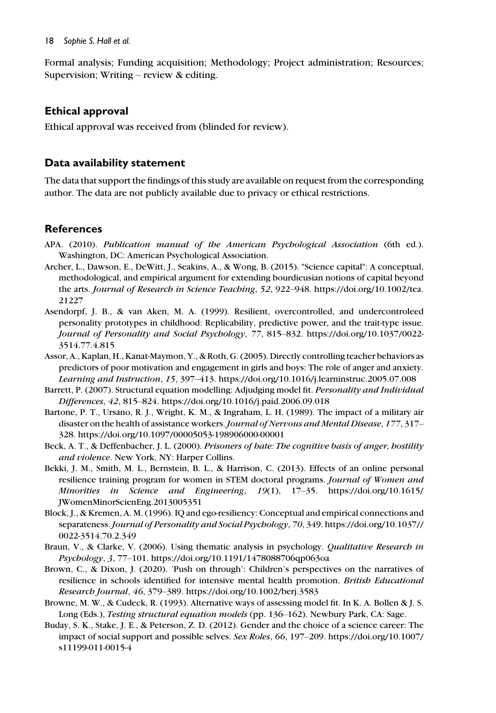#### 18 Sophie S. Hall et al.

Formal analysis; Funding acquisition; Methodology; Project administration; Resources; Supervision; Writing – review & editing.

#### Ethical approval

Ethical approval was received from (blinded for review).

#### Data availability statement

The data that support the findings of this study are available on request from the corresponding author. The data are not publicly available due to privacy or ethical restrictions.

#### References

- APA. (2010). Publication manual of the American Psychological Association (6th ed.). Washington, DC: American Psychological Association.
- Archer, L., Dawson, E., DeWitt, J., Seakins, A., & Wong, B. (2015). "Science capital": A conceptual, methodological, and empirical argument for extending bourdieusian notions of capital beyond the arts. Journal of Research in Science Teaching, 52, 922–948. [https://doi.org/10.1002/tea.](https://doi.org/10.1002/tea.21227) [21227](https://doi.org/10.1002/tea.21227)
- Asendorpf, J. B., & van Aken, M. A. (1999). Resilient, overcontrolled, and undercontroleed personality prototypes in childhood: Replicability, predictive power, and the trait-type issue. Journal of Personality and Social Psychology, 77, 815–832. [https://doi.org/10.1037/0022-](https://doi.org/10.1037/0022-3514.77.4.815) [3514.77.4.815](https://doi.org/10.1037/0022-3514.77.4.815)
- Assor, A., Kaplan, H., Kanat-Maymon, Y., & Roth, G. (2005). Directly controlling teacher behaviors as predictors of poor motivation and engagement in girls and boys: The role of anger and anxiety. Learning and Instruction, 15, 397–413.<https://doi.org/10.1016/j.learninstruc.2005.07.008>
- Barrett, P. (2007). Structural equation modelling: Adjudging model fit. Personality and Individual Differences, 42, 815–824.<https://doi.org/10.1016/j.paid.2006.09.018>
- Bartone, P. T., Ursano, R. J., Wright, K. M., & Ingraham, L. H. (1989). The impact of a military air disaster on the health of assistance workers. Journal of Nervous and Mental Disease, 177, 317– 328.<https://doi.org/10.1097/00005053-198906000-00001>
- Beck, A. T., & Deffenbacher, J. L. (2000). Prisoners of hate: The cognitive basis of anger, hostility and violence. New York, NY: Harper Collins.
- Bekki, J. M., Smith, M. L., Bernstein, B. L., & Harrison, C. (2013). Effects of an online personal resilience training program for women in STEM doctoral programs. Journal of Women and Minorities in Science and Engineering, 19(1), 17–35. [https://doi.org/10.1615/](https://doi.org/10.1615/JWomenMinorScienEng.2013005351) [JWomenMinorScienEng.2013005351](https://doi.org/10.1615/JWomenMinorScienEng.2013005351)
- Block, J., & Kremen, A. M. (1996). IQ and ego-resiliency: Conceptual and empirical connections and separateness.Journal of Personality and Social Psychology, 70, 349. [https://doi.org/10.1037//](https://doi.org/10.1037//0022-3514.70.2.349) [0022-3514.70.2.349](https://doi.org/10.1037//0022-3514.70.2.349)
- Braun, V., & Clarke, V. (2006). Using thematic analysis in psychology. Qualitative Research in Psychology, 3, 77–101.<https://doi.org/10.1191/1478088706qp063oa>
- Brown, C., & Dixon, J. (2020). 'Push on through': Children's perspectives on the narratives of resilience in schools identified for intensive mental health promotion. British Educational Research Journal, 46, 379–389.<https://doi.org/10.1002/berj.3583>
- Browne, M. W., & Cudeck, R. (1993). Alternative ways of assessing model fit. In K. A. Bollen & J. S. Long (Eds.), Testing structural equation models (pp. 136–162). Newbury Park, CA: Sage.
- Buday, S. K., Stake, J. E., & Peterson, Z. D. (2012). Gender and the choice of a science career: The impact of social support and possible selves. Sex Roles, 66, 197–209. [https://doi.org/10.1007/](https://doi.org/10.1007/s11199-011-0015-4) [s11199-011-0015-4](https://doi.org/10.1007/s11199-011-0015-4)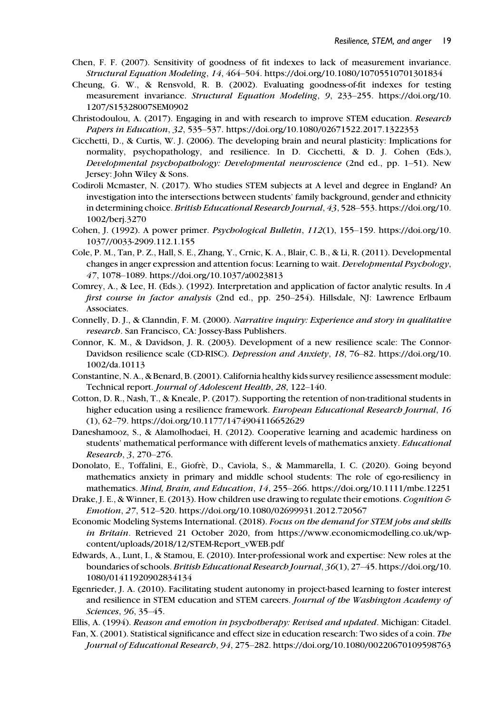- Chen, F. F. (2007). Sensitivity of goodness of fit indexes to lack of measurement invariance. Structural Equation Modeling, 14, 464–504.<https://doi.org/10.1080/10705510701301834>
- Cheung, G. W., & Rensvold, R. B. (2002). Evaluating goodness-of-fit indexes for testing measurement invariance. Structural Equation Modeling, 9, 233–255. [https://doi.org/10.](https://doi.org/10.1207/S15328007SEM0902) [1207/S15328007SEM0902](https://doi.org/10.1207/S15328007SEM0902)
- Christodoulou, A. (2017). Engaging in and with research to improve STEM education. Research Papers in Education, 32, 535–537.<https://doi.org/10.1080/02671522.2017.1322353>
- Cicchetti, D., & Curtis, W. J. (2006). The developing brain and neural plasticity: Implications for normality, psychopathology, and resilience. In D. Cicchetti, & D. J. Cohen (Eds.), Developmental psychopathology: Developmental neuroscience (2nd ed., pp. 1–51). New Jersey: John Wiley & Sons.
- Codiroli Mcmaster, N. (2017). Who studies STEM subjects at A level and degree in England? An investigation into the intersections between students' family background, gender and ethnicity in determining choice. British Educational Research Journal, 43, 528–553. [https://doi.org/10.](https://doi.org/10.1002/berj.3270) [1002/berj.3270](https://doi.org/10.1002/berj.3270)
- Cohen, J. (1992). A power primer. Psychological Bulletin, 112(1), 155–159. [https://doi.org/10.](https://doi.org/10.1037//0033-2909.112.1.155) [1037//0033-2909.112.1.155](https://doi.org/10.1037//0033-2909.112.1.155)
- Cole, P. M., Tan, P. Z., Hall, S. E., Zhang, Y., Crnic, K. A., Blair, C. B., & Li, R. (2011). Developmental changes in anger expression and attention focus: Learning to wait. Developmental Psychology, 47, 1078–1089.<https://doi.org/10.1037/a0023813>
- Comrey, A., & Lee, H. (Eds.). (1992). Interpretation and application of factor analytic results. In A first course in factor analysis (2nd ed., pp. 250–254). Hillsdale, NJ: Lawrence Erlbaum Associates.
- Connelly, D. J., & Clanndin, F. M. (2000). Narrative inquiry: Experience and story in qualitative research. San Francisco, CA: Jossey-Bass Publishers.
- Connor, K. M., & Davidson, J. R. (2003). Development of a new resilience scale: The Connor-Davidson resilience scale (CD-RISC). Depression and Anxiety, 18, 76–82. [https://doi.org/10.](https://doi.org/10.1002/da.10113) [1002/da.10113](https://doi.org/10.1002/da.10113)
- Constantine, N. A., & Benard, B. (2001). California healthy kids survey resilience assessment module: Technical report. Journal of Adolescent Health, 28, 122–140.
- Cotton, D. R., Nash, T., & Kneale, P. (2017). Supporting the retention of non-traditional students in higher education using a resilience framework. European Educational Research Journal, 16 (1), 62–79.<https://doi.org/10.1177/1474904116652629>
- Daneshamooz, S., & Alamolhodaei, H. (2012). Cooperative learning and academic hardiness on students' mathematical performance with different levels of mathematics anxiety. Educational Research, 3, 270–276.
- Donolato, E., Toffalini, E., Giofrè, D., Caviola, S., & Mammarella, I. C. (2020). Going beyond mathematics anxiety in primary and middle school students: The role of ego-resiliency in mathematics. Mind, Brain, and Education, 14, 255–266.<https://doi.org/10.1111/mbe.12251>
- Drake, J. E., & Winner, E. (2013). How children use drawing to regulate their emotions. Cognition  $\mathcal E$ Emotion, 27, 512–520.<https://doi.org/10.1080/02699931.2012.720567>
- Economic Modeling Systems International. (2018). Focus on the demand for STEM jobs and skills in Britain. Retrieved 21 October 2020, from [https://www.economicmodelling.co.uk/wp](https://www.economicmodelling.co.uk/wp-content/uploads/2018/12/STEM-Report_vWEB.pdf)[content/uploads/2018/12/STEM-Report\\_vWEB.pdf](https://www.economicmodelling.co.uk/wp-content/uploads/2018/12/STEM-Report_vWEB.pdf)
- Edwards, A., Lunt, I., & Stamou, E. (2010). Inter-professional work and expertise: New roles at the boundaries of schools. British Educational Research Journal, 36(1), 27–45. [https://doi.org/10.](https://doi.org/10.1080/01411920902834134) [1080/01411920902834134](https://doi.org/10.1080/01411920902834134)
- Egenrieder, J. A. (2010). Facilitating student autonomy in project-based learning to foster interest and resilience in STEM education and STEM careers. Journal of the Washington Academy of Sciences, 96, 35–45.

Ellis, A. (1994). Reason and emotion in psychotherapy: Revised and updated. Michigan: Citadel.

Fan, X. (2001). Statistical significance and effect size in education research: Two sides of a coin. The Journal of Educational Research, 94, 275–282.<https://doi.org/10.1080/00220670109598763>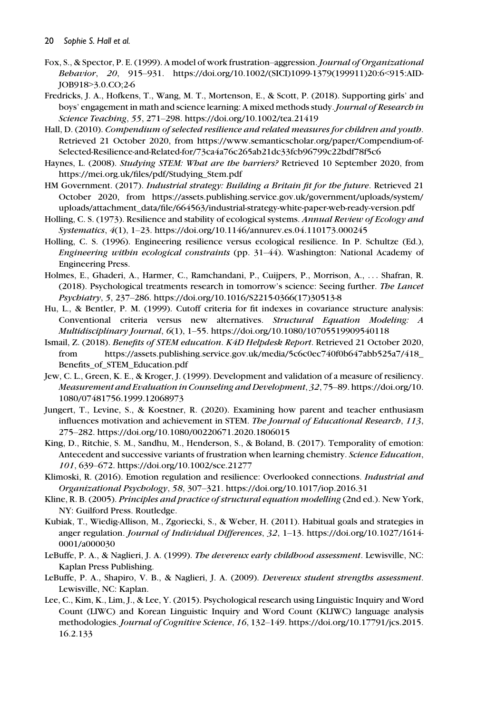- Fox, S., & Spector, P. E. (1999). A model of work frustration–aggression. Journal of Organizational Behavior, 20, 915–931. [https://doi.org/10.1002/\(SICI\)1099-1379\(199911\)20:6](https://doi.org/10.1002/(SICI)1099-1379(199911)20:6<915:AID-JOB918>3.0.CO;2-6)<915:AID-JOB918>[3.0.CO;2-6](https://doi.org/10.1002/(SICI)1099-1379(199911)20:6<915:AID-JOB918>3.0.CO;2-6)
- Fredricks, J. A., Hofkens, T., Wang, M. T., Mortenson, E., & Scott, P. (2018). Supporting girls' and boys' engagement in math and science learning: A mixed methods study. Journal of Research in Science Teaching, 55, 271–298.<https://doi.org/10.1002/tea.21419>
- Hall, D. (2010). Compendium of selected resilience and related measures for children and youth. Retrieved 21 October 2020, from [https://www.semanticscholar.org/paper/Compendium-of-](https://www.semanticscholar.org/paper/Compendium-of-Selected-Resilience-and-Related-for/73ca4a76c265ab21dc33fcb96799c22bdf78f5c6)[Selected-Resilience-and-Related-for/73ca4a76c265ab21dc33fcb96799c22bdf78f5c6](https://www.semanticscholar.org/paper/Compendium-of-Selected-Resilience-and-Related-for/73ca4a76c265ab21dc33fcb96799c22bdf78f5c6)
- Haynes, L. (2008). Studying STEM: What are the barriers? Retrieved 10 September 2020, from [https://mei.org.uk/files/pdf/Studying\\_Stem.pdf](https://mei.org.uk/files/pdf/Studying_Stem.pdf)
- HM Government. (2017). Industrial strategy: Building a Britain fit for the future. Retrieved 21 October 2020, from [https://assets.publishing.service.gov.uk/government/uploads/system/](https://assets.publishing.service.gov.uk/government/uploads/system/uploads/attachment_data/file/664563/industrial-strategy-white-paper-web-ready-version.pdf) [uploads/attachment\\_data/file/664563/industrial-strategy-white-paper-web-ready-version.pdf](https://assets.publishing.service.gov.uk/government/uploads/system/uploads/attachment_data/file/664563/industrial-strategy-white-paper-web-ready-version.pdf)
- Holling, C. S. (1973). Resilience and stability of ecological systems. Annual Review of Ecology and Systematics, 4(1), 1–23.<https://doi.org/10.1146/annurev.es.04.110173.000245>
- Holling, C. S. (1996). Engineering resilience versus ecological resilience. In P. Schultze (Ed.), Engineering within ecological constraints (pp. 31–44). Washington: National Academy of Engineering Press.
- Holmes, E., Ghaderi, A., Harmer, C., Ramchandani, P., Cuijpers, P., Morrison, A., ... Shafran, R. (2018). Psychological treatments research in tomorrow's science: Seeing further. The Lancet Psychiatry, 5, 237–286. [https://doi.org/10.1016/S2215-0366\(17\)30513-8](https://doi.org/10.1016/S2215-0366(17)30513-8)
- Hu, L., & Bentler, P. M. (1999). Cutoff criteria for fit indexes in covariance structure analysis: Conventional criteria versus new alternatives. Structural Equation Modeling: A Multidisciplinary Journal, 6(1), 1–55.<https://doi.org/10.1080/10705519909540118>
- Ismail, Z. (2018). Benefits of STEM education. K4D Helpdesk Report. Retrieved 21 October 2020, from [https://assets.publishing.service.gov.uk/media/5c6c0ec740f0b647abb525a7/418\\_](https://assets.publishing.service.gov.uk/media/5c6c0ec740f0b647abb525a7/418_Benefits_of_STEM_Education.pdf) [Benefits\\_of\\_STEM\\_Education.pdf](https://assets.publishing.service.gov.uk/media/5c6c0ec740f0b647abb525a7/418_Benefits_of_STEM_Education.pdf)
- Jew, C. L., Green, K. E., & Kroger, J. (1999). Development and validation of a measure of resiliency. Measurement and Evaluation in Counseling and Development, 32, 75–89. [https://doi.org/10.](https://doi.org/10.1080/07481756.1999.12068973) [1080/07481756.1999.12068973](https://doi.org/10.1080/07481756.1999.12068973)
- Jungert, T., Levine, S., & Koestner, R. (2020). Examining how parent and teacher enthusiasm influences motivation and achievement in STEM. The Journal of Educational Research, 113, 275–282.<https://doi.org/10.1080/00220671.2020.1806015>
- King, D., Ritchie, S. M., Sandhu, M., Henderson, S., & Boland, B. (2017). Temporality of emotion: Antecedent and successive variants of frustration when learning chemistry. Science Education, 101, 639–672.<https://doi.org/10.1002/sce.21277>
- Klimoski, R. (2016). Emotion regulation and resilience: Overlooked connections. Industrial and Organizational Psychology, 58, 307–321.<https://doi.org/10.1017/iop.2016.31>
- Kline, R. B. (2005). Principles and practice of structural equation modelling (2nd ed.). New York, NY: Guilford Press. Routledge.
- Kubiak, T., Wiedig-Allison, M., Zgoriecki, S., & Weber, H. (2011). Habitual goals and strategies in anger regulation. Journal of Individual Differences, 32, 1–13. [https://doi.org/10.1027/1614-](https://doi.org/10.1027/1614-0001/a000030) [0001/a000030](https://doi.org/10.1027/1614-0001/a000030)
- LeBuffe, P. A., & Naglieri, J. A. (1999). The devereux early childhood assessment. Lewisville, NC: Kaplan Press Publishing.
- LeBuffe, P. A., Shapiro, V. B., & Naglieri, J. A. (2009). Devereux student strengths assessment. Lewisville, NC: Kaplan.
- Lee, C., Kim, K., Lim, J., & Lee, Y. (2015). Psychological research using Linguistic Inquiry and Word Count (LIWC) and Korean Linguistic Inquiry and Word Count (KLIWC) language analysis methodologies. Journal of Cognitive Science, 16, 132–149. [https://doi.org/10.17791/jcs.2015.](https://doi.org/10.17791/jcs.2015.16.2.133) [16.2.133](https://doi.org/10.17791/jcs.2015.16.2.133)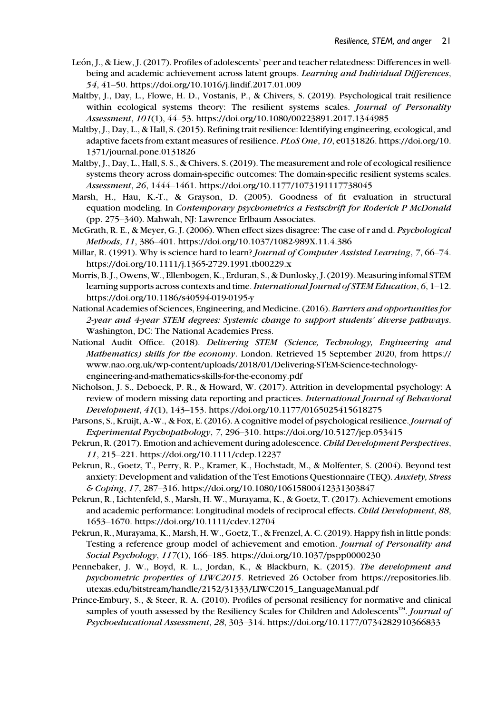- León, J., & Liew, J. (2017). Profiles of adolescents' peer and teacher relatedness: Differences in wellbeing and academic achievement across latent groups. Learning and Individual Differences, 54, 41–50.<https://doi.org/10.1016/j.lindif.2017.01.009>
- Maltby, J., Day, L., Flowe, H. D., Vostanis, P., & Chivers, S. (2019). Psychological trait resilience within ecological systems theory: The resilient systems scales. Journal of Personality Assessment, 101(1), 44–53.<https://doi.org/10.1080/00223891.2017.1344985>
- Maltby, J., Day, L., & Hall, S. (2015). Refining trait resilience: Identifying engineering, ecological, and adaptive facets from extant measures of resilience. PLoS One, 10, e0131826. [https://doi.org/10.](https://doi.org/10.1371/journal.pone.0131826) [1371/journal.pone.0131826](https://doi.org/10.1371/journal.pone.0131826)
- Maltby, J., Day, L., Hall, S. S., & Chivers, S. (2019). The measurement and role of ecological resilience systems theory across domain-specific outcomes: The domain-specific resilient systems scales. Assessment, 26, 1444–1461.<https://doi.org/10.1177/1073191117738045>
- Marsh, H., Hau, K.-T., & Grayson, D. (2005). Goodness of fit evaluation in structural equation modeling. In Contemporary psychometrics a Festschrift for Roderick P McDonald (pp. 275–340). Mahwah, NJ: Lawrence Erlbaum Associates.
- McGrath, R. E., & Meyer, G. J. (2006). When effect sizes disagree: The case of r and d. Psychological Methods, 11, 386–401.<https://doi.org/10.1037/1082-989X.11.4.386>
- Millar, R. (1991). Why is science hard to learn? Journal of Computer Assisted Learning, 7, 66–74. <https://doi.org/10.1111/j.1365-2729.1991.tb00229.x>
- Morris, B. J., Owens, W., Ellenbogen, K., Erduran, S., & Dunlosky, J. (2019). Measuring infomal STEM learning supports across contexts and time. International Journal of STEM Education, 6, 1-12. <https://doi.org/10.1186/s40594-019-0195-y>
- National Academies of Sciences, Engineering, and Medicine. (2016). Barriers and opportunities for 2-year and 4-year STEM degrees: Systemic change to support students' diverse pathways. Washington, DC: The National Academies Press.
- National Audit Office. (2018). Delivering STEM (Science, Technology, Engineering and Mathematics) skills for the economy. London. Retrieved 15 September 2020, from [https://](https://www.nao.org.uk/wp-content/uploads/2018/01/Delivering-STEM-Science-technology-engineering-and-mathematics-skills-for-the-economy.pdf) [www.nao.org.uk/wp-content/uploads/2018/01/Delivering-STEM-Science-technology](https://www.nao.org.uk/wp-content/uploads/2018/01/Delivering-STEM-Science-technology-engineering-and-mathematics-skills-for-the-economy.pdf)[engineering-and-mathematics-skills-for-the-economy.pdf](https://www.nao.org.uk/wp-content/uploads/2018/01/Delivering-STEM-Science-technology-engineering-and-mathematics-skills-for-the-economy.pdf)
- Nicholson, J. S., Deboeck, P. R., & Howard, W. (2017). Attrition in developmental psychology: A review of modern missing data reporting and practices. International Journal of Behavioral Development, 41(1), 143–153.<https://doi.org/10.1177/0165025415618275>
- Parsons, S., Kruijt, A.-W., & Fox, E. (2016). A cognitive model of psychological resilience. Journal of Experimental Psychopathology, 7, 296–310.<https://doi.org/10.5127/jep.053415>
- Pekrun, R. (2017). Emotion and achievement during adolescence. Child Development Perspectives, 11, 215–221.<https://doi.org/10.1111/cdep.12237>
- Pekrun, R., Goetz, T., Perry, R. P., Kramer, K., Hochstadt, M., & Molfenter, S. (2004). Beyond test anxiety: Development and validation of the Test Emotions Questionnaire (TEQ). Anxiety, Stress & Coping, 17, 287–316.<https://doi.org/10.1080/10615800412331303847>
- Pekrun, R., Lichtenfeld, S., Marsh, H. W., Murayama, K., & Goetz, T. (2017). Achievement emotions and academic performance: Longitudinal models of reciprocal effects. Child Development, 88, 1653–1670.<https://doi.org/10.1111/cdev.12704>
- Pekrun, R., Murayama, K., Marsh, H. W., Goetz, T., & Frenzel, A. C. (2019). Happy fish in little ponds: Testing a reference group model of achievement and emotion. Journal of Personality and Social Psychology, 117(1), 166–185.<https://doi.org/10.1037/pspp0000230>
- Pennebaker, J. W., Boyd, R. L., Jordan, K., & Blackburn, K. (2015). The development and psychometric properties of LIWC2015. Retrieved 26 October from [https://repositories.lib.](https://repositories.lib.utexas.edu/bitstream/handle/2152/31333/LIWC2015_LanguageManual.pdf) [utexas.edu/bitstream/handle/2152/31333/LIWC2015\\_LanguageManual.pdf](https://repositories.lib.utexas.edu/bitstream/handle/2152/31333/LIWC2015_LanguageManual.pdf)
- Prince-Embury, S., & Steer, R. A. (2010). Profiles of personal resiliency for normative and clinical samples of youth assessed by the Resiliency Scales for Children and Adolescents<sup>TM</sup>. Journal of Psychoeducational Assessment, 28, 303–314.<https://doi.org/10.1177/0734282910366833>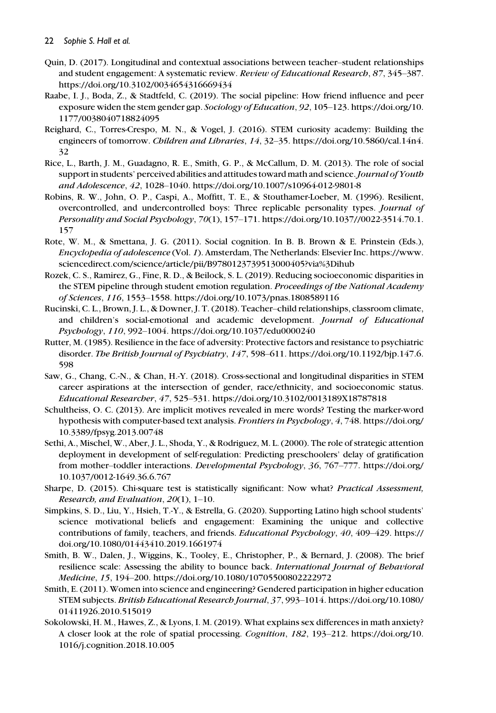- Quin, D. (2017). Longitudinal and contextual associations between teacher–student relationships and student engagement: A systematic review. Review of Educational Research, 87, 345-387. <https://doi.org/10.3102/0034654316669434>
- Raabe, I. J., Boda, Z., & Stadtfeld, C. (2019). The social pipeline: How friend influence and peer exposure widen the stem gender gap. Sociology of Education, 92, 105–123. [https://doi.org/10.](https://doi.org/10.1177/0038040718824095) [1177/0038040718824095](https://doi.org/10.1177/0038040718824095)
- Reighard, C., Torres-Crespo, M. N., & Vogel, J. (2016). STEM curiosity academy: Building the engineers of tomorrow. Children and Libraries, 14, 32–35. [https://doi.org/10.5860/cal.14n4.](https://doi.org/10.5860/cal.14n4.32) [32](https://doi.org/10.5860/cal.14n4.32)
- Rice, L., Barth, J. M., Guadagno, R. E., Smith, G. P., & McCallum, D. M. (2013). The role of social support in students' perceived abilities and attitudes toward math and science. Journal of Youth and Adolescence, 42, 1028–1040.<https://doi.org/10.1007/s10964-012-9801-8>
- Robins, R. W., John, O. P., Caspi, A., Moffitt, T. E., & Stouthamer-Loeber, M. (1996). Resilient, overcontrolled, and undercontrolled boys: Three replicable personality types. Journal of Personality and Social Psychology, 70(1), 157–171. [https://doi.org/10.1037//0022-3514.70.1.](https://doi.org/10.1037//0022-3514.70.1.157) [157](https://doi.org/10.1037//0022-3514.70.1.157)
- Rote, W. M., & Smettana, J. G. (2011). Social cognition. In B. B. Brown & E. Prinstein (Eds.), Encyclopedia of adolescence (Vol. 1). Amsterdam, The Netherlands: Elsevier Inc. [https://www.](https://www.sciencedirect.com/science/article/pii/B9780123739513000405?via%3Dihub) [sciencedirect.com/science/article/pii/B9780123739513000405?via%3Dihub](https://www.sciencedirect.com/science/article/pii/B9780123739513000405?via%3Dihub)
- Rozek, C. S., Ramirez, G., Fine, R. D., & Beilock, S. L. (2019). Reducing socioeconomic disparities in the STEM pipeline through student emotion regulation. Proceedings of the National Academy of Sciences, 116, 1553–1558.<https://doi.org/10.1073/pnas.1808589116>
- Rucinski, C. L., Brown, J. L., & Downer, J. T. (2018). Teacher–child relationships, classroom climate, and children's social-emotional and academic development. Journal of Educational Psychology, 110, 992–1004.<https://doi.org/10.1037/edu0000240>
- Rutter, M. (1985). Resilience in the face of adversity: Protective factors and resistance to psychiatric disorder. The British Journal of Psychiatry, 147, 598-611. [https://doi.org/10.1192/bjp.147.6.](https://doi.org/10.1192/bjp.147.6.598) [598](https://doi.org/10.1192/bjp.147.6.598)
- Saw, G., Chang, C.-N., & Chan, H.-Y. (2018). Cross-sectional and longitudinal disparities in STEM career aspirations at the intersection of gender, race/ethnicity, and socioeconomic status. Educational Researcher, 47, 525–531.<https://doi.org/10.3102/0013189X18787818>
- Schultheiss, O. C. (2013). Are implicit motives revealed in mere words? Testing the marker-word hypothesis with computer-based text analysis. Frontiers in Psychology, 4, 748. [https://doi.org/](https://doi.org/10.3389/fpsyg.2013.00748) [10.3389/fpsyg.2013.00748](https://doi.org/10.3389/fpsyg.2013.00748)
- Sethi, A., Mischel, W., Aber, J. L., Shoda, Y., & Rodriguez, M. L. (2000). The role of strategic attention deployment in development of self-regulation: Predicting preschoolers' delay of gratification from mother–toddler interactions. Developmental Psychology, 36, 767–777. [https://doi.org/](https://doi.org/10.1037/0012-1649.36.6.767) [10.1037/0012-1649.36.6.767](https://doi.org/10.1037/0012-1649.36.6.767)
- Sharpe, D. (2015). Chi-square test is statistically significant: Now what? Practical Assessment, Research, and Evaluation, 20(1), 1–10.
- Simpkins, S. D., Liu, Y., Hsieh, T.-Y., & Estrella, G. (2020). Supporting Latino high school students' science motivational beliefs and engagement: Examining the unique and collective contributions of family, teachers, and friends. Educational Psychology, 40, 409–429. [https://](https://doi.org/10.1080/01443410.2019.1661974) [doi.org/10.1080/01443410.2019.1661974](https://doi.org/10.1080/01443410.2019.1661974)
- Smith, B. W., Dalen, J., Wiggins, K., Tooley, E., Christopher, P., & Bernard, J. (2008). The brief resilience scale: Assessing the ability to bounce back. International Journal of Behavioral Medicine, 15, 194–200.<https://doi.org/10.1080/10705500802222972>
- Smith, E. (2011). Women into science and engineering? Gendered participation in higher education STEM subjects. British Educational Research Journal, 37, 993–1014. [https://doi.org/10.1080/](https://doi.org/10.1080/01411926.2010.515019) [01411926.2010.515019](https://doi.org/10.1080/01411926.2010.515019)
- Sokolowski, H. M., Hawes, Z., & Lyons, I. M. (2019). What explains sex differences in math anxiety? A closer look at the role of spatial processing. Cognition, 182, 193–212. [https://doi.org/10.](https://doi.org/10.1016/j.cognition.2018.10.005) [1016/j.cognition.2018.10.005](https://doi.org/10.1016/j.cognition.2018.10.005)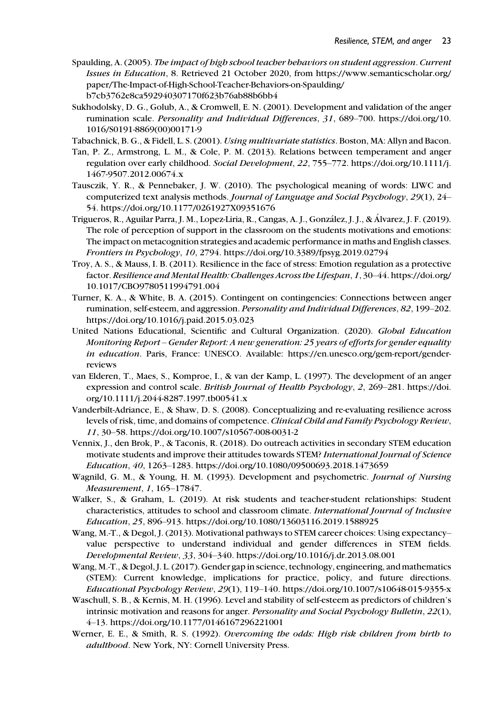- Spaulding, A. (2005). The impact of high school teacher behaviors on student aggression. Current Issues in Education, 8. Retrieved 21 October 2020, from [https://www.semanticscholar.org/](https://www.semanticscholar.org/paper/The-Impact-of-High-School-Teacher-Behaviors-on-Spaulding/b7cb3762e8ca592940307170f623b76ab88b6bb4) [paper/The-Impact-of-High-School-Teacher-Behaviors-on-Spaulding/](https://www.semanticscholar.org/paper/The-Impact-of-High-School-Teacher-Behaviors-on-Spaulding/b7cb3762e8ca592940307170f623b76ab88b6bb4) [b7cb3762e8ca592940307170f623b76ab88b6bb4](https://www.semanticscholar.org/paper/The-Impact-of-High-School-Teacher-Behaviors-on-Spaulding/b7cb3762e8ca592940307170f623b76ab88b6bb4)
- Sukhodolsky, D. G., Golub, A., & Cromwell, E. N. (2001). Development and validation of the anger rumination scale. Personality and Individual Differences, 31, 689–700. [https://doi.org/10.](https://doi.org/10.1016/S0191-8869(00)00171-9) [1016/S0191-8869\(00\)00171-9](https://doi.org/10.1016/S0191-8869(00)00171-9)
- Tabachnick, B. G., & Fidell, L. S. (2001). Using multivariate statistics. Boston, MA: Allyn and Bacon.
- Tan, P. Z., Armstrong, L. M., & Cole, P. M. (2013). Relations between temperament and anger regulation over early childhood. Social Development, 22, 755–772. [https://doi.org/10.1111/j.](https://doi.org/10.1111/j.1467-9507.2012.00674.x) [1467-9507.2012.00674.x](https://doi.org/10.1111/j.1467-9507.2012.00674.x)
- Tausczik, Y. R., & Pennebaker, J. W. (2010). The psychological meaning of words: LIWC and computerized text analysis methods. Journal of Language and Social Psychology, 29(1), 24– 54.<https://doi.org/10.1177/0261927X09351676>
- Trigueros, R., Aguilar Parra, J. M., Lopez-Liria, R., Cangas, A. J., Gonzalez, J. J., & Alvarez, J. F. (2019). The role of perception of support in the classroom on the students motivations and emotions: The impact on metacognition strategies and academic performance in maths and English classes. Frontiers in Psychology, 10, 2794.<https://doi.org/10.3389/fpsyg.2019.02794>
- Troy, A. S., & Mauss, I. B. (2011). Resilience in the face of stress: Emotion regulation as a protective factor. Resilience and Mental Health: Challenges Across the Lifespan, 1, 30–44. [https://doi.org/](https://doi.org/10.1017/CBO9780511994791.004) [10.1017/CBO9780511994791.004](https://doi.org/10.1017/CBO9780511994791.004)
- Turner, K. A., & White, B. A. (2015). Contingent on contingencies: Connections between anger rumination, self-esteem, and aggression. Personality and Individual Differences, 82, 199-202. <https://doi.org/10.1016/j.paid.2015.03.023>
- United Nations Educational, Scientific and Cultural Organization. (2020). Global Education Monitoring Report – Gender Report: A new generation: 25 years of efforts for gender equality in education. Paris, France: UNESCO. Available: [https://en.unesco.org/gem-report/gender](https://en.unesco.org/gem-report/gender-reviews)[reviews](https://en.unesco.org/gem-report/gender-reviews)
- van Elderen, T., Maes, S., Komproe, I., & van der Kamp, L. (1997). The development of an anger expression and control scale. British Journal of Health Psychology, 2, 269–281. [https://doi.](https://doi.org/10.1111/j.2044-8287.1997.tb00541.x) [org/10.1111/j.2044-8287.1997.tb00541.x](https://doi.org/10.1111/j.2044-8287.1997.tb00541.x)
- Vanderbilt-Adriance, E., & Shaw, D. S. (2008). Conceptualizing and re-evaluating resilience across levels of risk, time, and domains of competence. Clinical Child and Family Psychology Review, 11, 30–58.<https://doi.org/10.1007/s10567-008-0031-2>
- Vennix, J., den Brok, P., & Taconis, R. (2018). Do outreach activities in secondary STEM education motivate students and improve their attitudes towards STEM? International Journal of Science Education, 40, 1263–1283.<https://doi.org/10.1080/09500693.2018.1473659>
- Wagnild, G. M., & Young, H. M. (1993). Development and psychometric. Journal of Nursing Measurement, 1, 165–17847.
- Walker, S., & Graham, L. (2019). At risk students and teacher-student relationships: Student characteristics, attitudes to school and classroom climate. International Journal of Inclusive Education, 25, 896–913.<https://doi.org/10.1080/13603116.2019.1588925>
- Wang, M.-T., & Degol, J. (2013). Motivational pathways to STEM career choices: Using expectancy– value perspective to understand individual and gender differences in STEM fields. Developmental Review, 33, 304–340.<https://doi.org/10.1016/j.dr.2013.08.001>
- Wang, M.-T., & Degol, J. L. (2017). Gender gap in science, technology, engineering, and mathematics (STEM): Current knowledge, implications for practice, policy, and future directions. Educational Psychology Review, 29(1), 119–140.<https://doi.org/10.1007/s10648-015-9355-x>
- Waschull, S. B., & Kernis, M. H. (1996). Level and stability of self-esteem as predictors of children's intrinsic motivation and reasons for anger. Personality and Social Psychology Bulletin, 22(1), 4–13.<https://doi.org/10.1177/0146167296221001>
- Werner, E. E., & Smith, R. S. (1992). Overcoming the odds: High risk children from birth to adulthood. New York, NY: Cornell University Press.